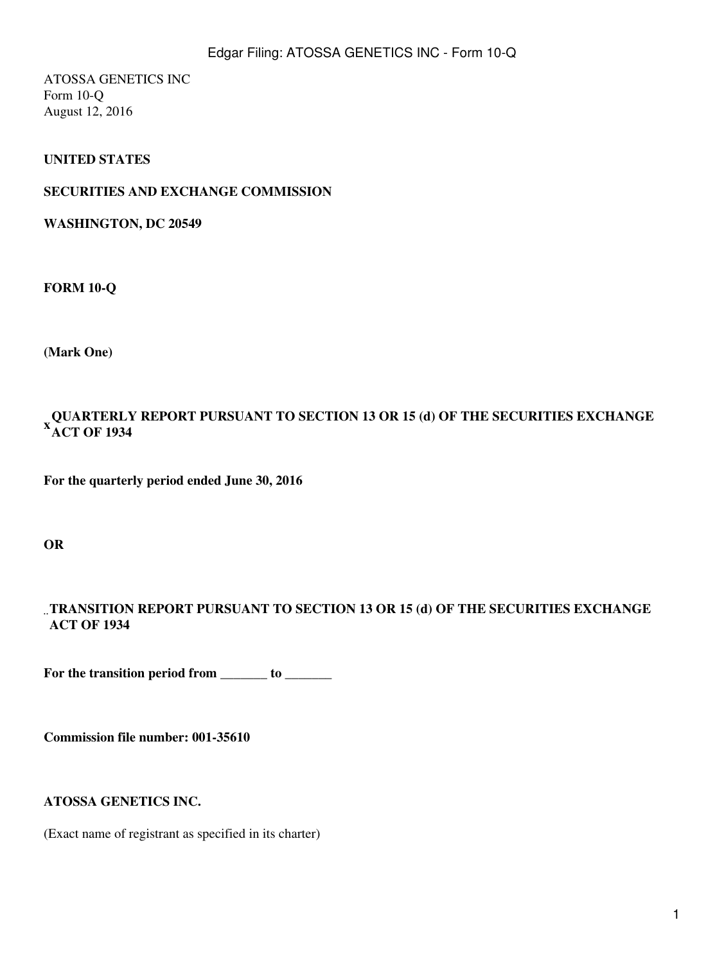ATOSSA GENETICS INC Form 10-Q August 12, 2016

## **UNITED STATES**

#### **SECURITIES AND EXCHANGE COMMISSION**

**WASHINGTON, DC 20549**

**FORM 10-Q**

**(Mark One)**

#### **QUARTERLY REPORT PURSUANT TO SECTION 13 OR 15 (d) OF THE SECURITIES EXCHANGE**<br><sup>X</sup> a ct of 1934 **ACT OF 1934**

**For the quarterly period ended June 30, 2016**

**OR**

#### ¨ **TRANSITION REPORT PURSUANT TO SECTION 13 OR 15 (d) OF THE SECURITIES EXCHANGE ACT OF 1934**

For the transition period from \_\_\_\_\_\_\_ to \_\_\_\_\_\_\_

**Commission file number: 001-35610**

#### **ATOSSA GENETICS INC.**

(Exact name of registrant as specified in its charter)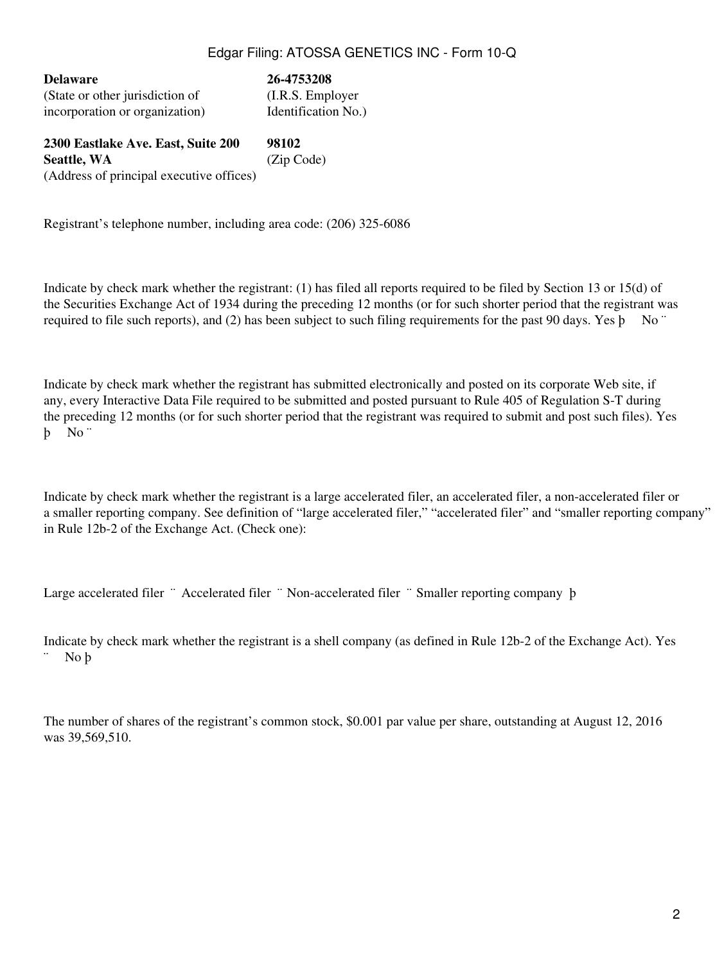**Delaware 26-4753208** (State or other jurisdiction of (I.R.S. Employer incorporation or organization) Identification No.)

**2300 Eastlake Ave. East, Suite 200 98102 Seattle, WA** (Zip Code) (Address of principal executive offices)

Registrant's telephone number, including area code: (206) 325-6086

Indicate by check mark whether the registrant: (1) has filed all reports required to be filed by Section 13 or 15(d) of the Securities Exchange Act of 1934 during the preceding 12 months (or for such shorter period that the registrant was required to file such reports), and (2) has been subject to such filing requirements for the past 90 days. Yes b No "

Indicate by check mark whether the registrant has submitted electronically and posted on its corporate Web site, if any, every Interactive Data File required to be submitted and posted pursuant to Rule 405 of Regulation S-T during the preceding 12 months (or for such shorter period that the registrant was required to submit and post such files). Yes þ No ¨

Indicate by check mark whether the registrant is a large accelerated filer, an accelerated filer, a non-accelerated filer or a smaller reporting company. See definition of "large accelerated filer," "accelerated filer" and "smaller reporting company" in Rule 12b-2 of the Exchange Act. (Check one):

Large accelerated filer ¨ Accelerated filer ¨ Non-accelerated filer ¨ Smaller reporting company þ

Indicate by check mark whether the registrant is a shell company (as defined in Rule 12b-2 of the Exchange Act). Yes ¨ No þ

The number of shares of the registrant's common stock, \$0.001 par value per share, outstanding at August 12, 2016 was 39,569,510.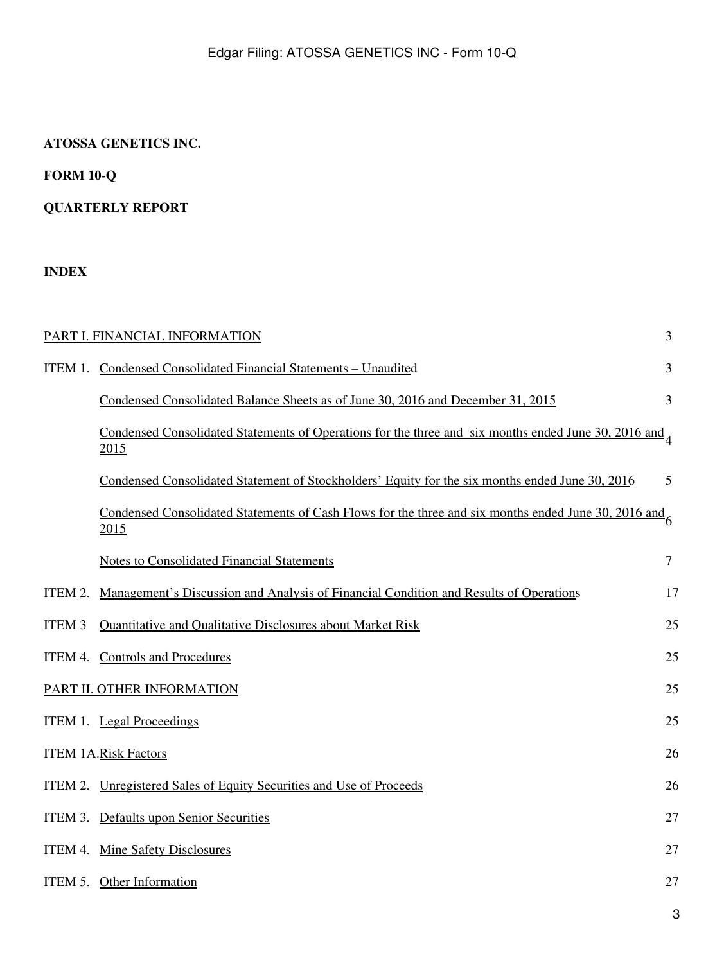## **ATOSSA GENETICS INC.**

## **FORM 10-Q**

## **QUARTERLY REPORT**

## **INDEX**

|               | PART I. FINANCIAL INFORMATION                                                                                          | 3              |
|---------------|------------------------------------------------------------------------------------------------------------------------|----------------|
|               | ITEM 1. Condensed Consolidated Financial Statements - Unaudited                                                        | $\overline{3}$ |
|               | Condensed Consolidated Balance Sheets as of June 30, 2016 and December 31, 2015                                        | 3              |
|               | Condensed Consolidated Statements of Operations for the three and six months ended June 30, 2016 and $\Lambda$<br>2015 |                |
|               | Condensed Consolidated Statement of Stockholders' Equity for the six months ended June 30, 2016                        | 5              |
|               | Condensed Consolidated Statements of Cash Flows for the three and six months ended June 30, 2016 and 6<br>2015         |                |
|               | <b>Notes to Consolidated Financial Statements</b>                                                                      | $\overline{7}$ |
| ITEM 2.       | Management's Discussion and Analysis of Financial Condition and Results of Operations                                  | 17             |
| <b>ITEM 3</b> | <b>Quantitative and Qualitative Disclosures about Market Risk</b>                                                      | 25             |
|               | ITEM 4. Controls and Procedures                                                                                        | 25             |
|               | PART II. OTHER INFORMATION                                                                                             | 25             |
|               | ITEM 1. Legal Proceedings                                                                                              | 25             |
|               | <b>ITEM 1A.Risk Factors</b>                                                                                            | 26             |
|               | ITEM 2. Unregistered Sales of Equity Securities and Use of Proceeds                                                    | 26             |
|               | ITEM 3. Defaults upon Senior Securities                                                                                | 27             |
|               | ITEM 4. Mine Safety Disclosures                                                                                        | 27             |
|               | ITEM 5. Other Information                                                                                              | 27             |
|               |                                                                                                                        | 3              |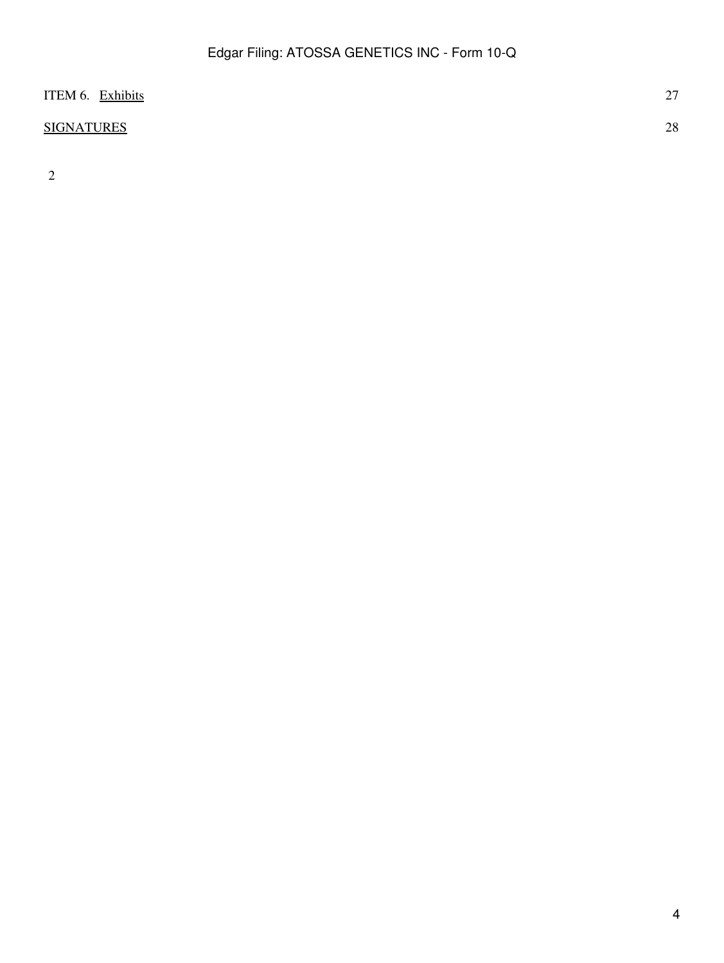| ITEM 6. Exhibits  | $\sim$<br>$\sim$ 1 |
|-------------------|--------------------|
| <b>SIGNATURES</b> | 28                 |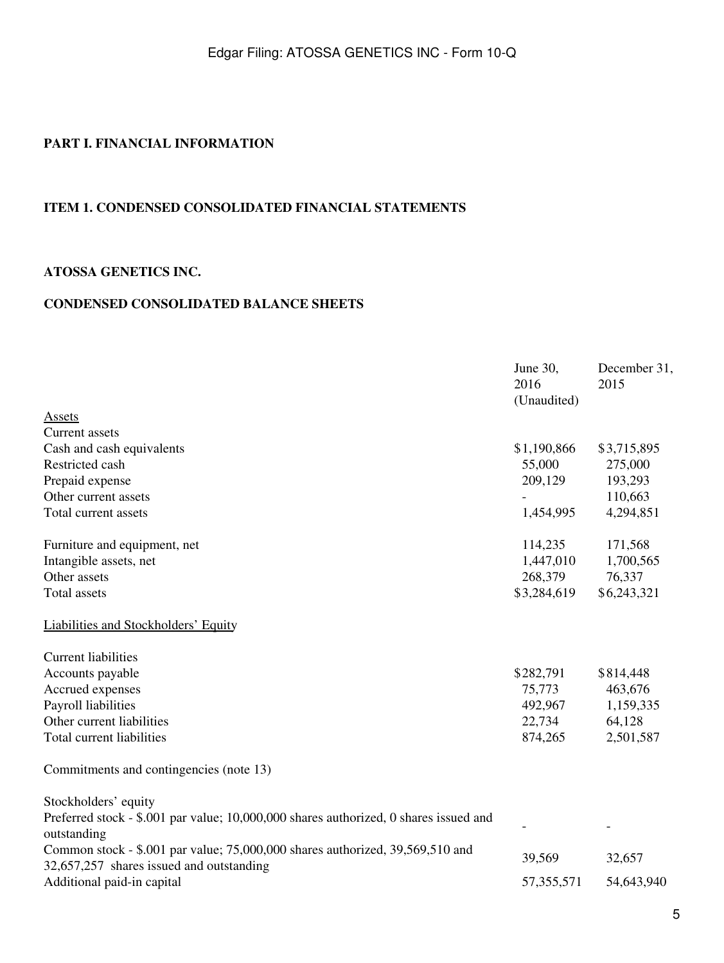## <span id="page-4-0"></span>**PART I. FINANCIAL INFORMATION**

#### <span id="page-4-1"></span>**ITEM 1. CONDENSED CONSOLIDATED FINANCIAL STATEMENTS**

#### <span id="page-4-2"></span>**ATOSSA GENETICS INC.**

#### **CONDENSED CONSOLIDATED BALANCE SHEETS**

|                                                                                                                           | June 30,<br>2016<br>(Unaudited) | December 31,<br>2015 |
|---------------------------------------------------------------------------------------------------------------------------|---------------------------------|----------------------|
| <b>Assets</b>                                                                                                             |                                 |                      |
| <b>Current</b> assets                                                                                                     |                                 |                      |
| Cash and cash equivalents                                                                                                 | \$1,190,866                     | \$3,715,895          |
| Restricted cash                                                                                                           | 55,000                          | 275,000              |
| Prepaid expense                                                                                                           | 209,129                         | 193,293              |
| Other current assets                                                                                                      |                                 | 110,663              |
| Total current assets                                                                                                      | 1,454,995                       | 4,294,851            |
| Furniture and equipment, net                                                                                              | 114,235                         | 171,568              |
| Intangible assets, net                                                                                                    | 1,447,010                       | 1,700,565            |
| Other assets                                                                                                              | 268,379                         | 76,337               |
| <b>Total assets</b>                                                                                                       | \$3,284,619                     | \$6,243,321          |
| Liabilities and Stockholders' Equity                                                                                      |                                 |                      |
| <b>Current liabilities</b>                                                                                                |                                 |                      |
| Accounts payable                                                                                                          | \$282,791                       | \$814,448            |
| Accrued expenses                                                                                                          | 75,773                          | 463,676              |
| Payroll liabilities                                                                                                       | 492,967                         | 1,159,335            |
| Other current liabilities                                                                                                 | 22,734                          | 64,128               |
| Total current liabilities                                                                                                 | 874,265                         | 2,501,587            |
| Commitments and contingencies (note 13)                                                                                   |                                 |                      |
| Stockholders' equity                                                                                                      |                                 |                      |
| Preferred stock - \$.001 par value; 10,000,000 shares authorized, 0 shares issued and<br>outstanding                      |                                 |                      |
| Common stock - \$.001 par value; 75,000,000 shares authorized, 39,569,510 and<br>32,657,257 shares issued and outstanding | 39,569                          | 32,657               |
| Additional paid-in capital                                                                                                | 57, 355, 571                    | 54,643,940           |
|                                                                                                                           |                                 |                      |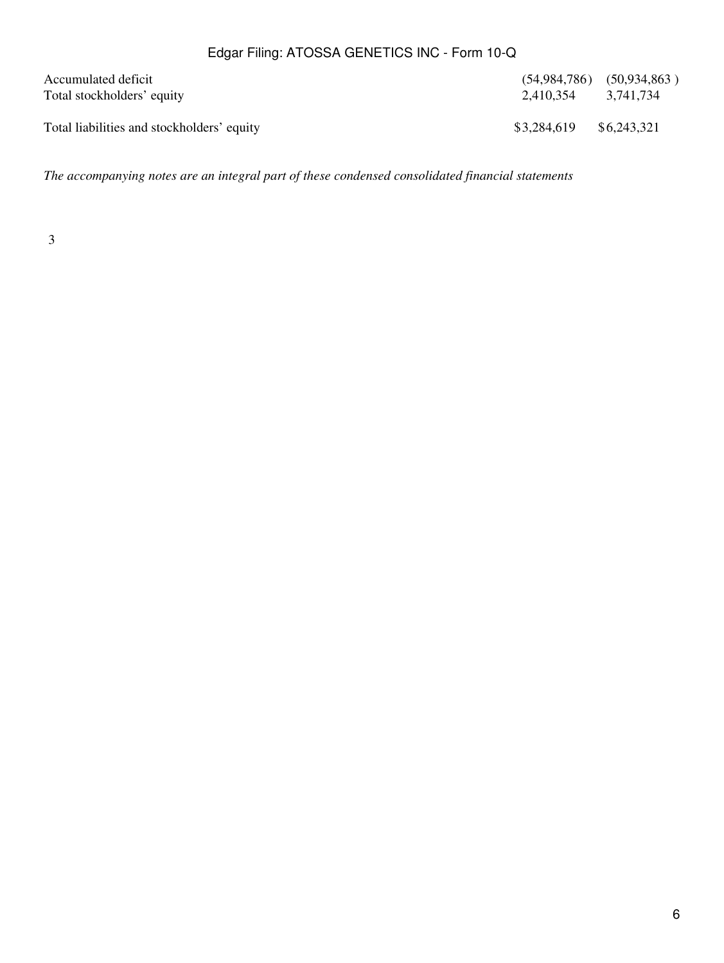| Accumulated deficit<br>Total stockholders' equity | 2,410,354 3,741,734 | $(54,984,786)$ $(50,934,863)$ |
|---------------------------------------------------|---------------------|-------------------------------|
| Total liabilities and stockholders' equity        | \$3,284,619         | \$6,243,321                   |

*The accompanying notes are an integral part of these condensed consolidated financial statements*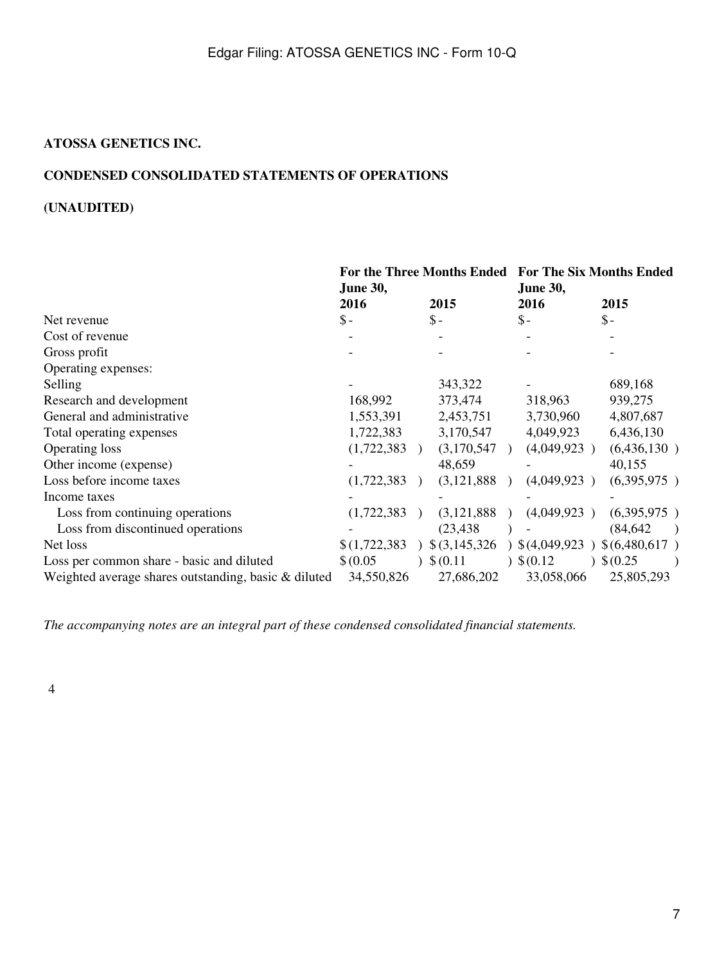#### <span id="page-6-0"></span>**ATOSSA GENETICS INC.**

## **CONDENSED CONSOLIDATED STATEMENTS OF OPERATIONS**

## **(UNAUDITED)**

|                                                      | For the Three Months Ended For The Six Months Ended<br><b>June 30,</b> |  | <b>June 30,</b> |               |  |             |
|------------------------------------------------------|------------------------------------------------------------------------|--|-----------------|---------------|--|-------------|
|                                                      | 2016                                                                   |  | 2015            | 2016          |  | 2015        |
| Net revenue                                          | $\mathbb{S}$ –                                                         |  | $\mathsf{\$}$ - | $\frac{1}{2}$ |  | $S-$        |
| Cost of revenue                                      |                                                                        |  |                 |               |  |             |
| Gross profit                                         |                                                                        |  |                 |               |  |             |
| Operating expenses:                                  |                                                                        |  |                 |               |  |             |
| Selling                                              |                                                                        |  | 343,322         |               |  | 689,168     |
| Research and development                             | 168,992                                                                |  | 373,474         | 318,963       |  | 939,275     |
| General and administrative                           | 1,553,391                                                              |  | 2,453,751       | 3,730,960     |  | 4,807,687   |
| Total operating expenses                             | 1,722,383                                                              |  | 3,170,547       | 4,049,923     |  | 6,436,130   |
| <b>Operating loss</b>                                | (1,722,383)                                                            |  | (3,170,547)     | (4,049,923)   |  | (6,436,130) |
| Other income (expense)                               |                                                                        |  | 48,659          |               |  | 40,155      |
| Loss before income taxes                             | (1,722,383)                                                            |  | (3,121,888)     | (4,049,923)   |  | (6,395,975) |
| Income taxes                                         |                                                                        |  |                 |               |  |             |
| Loss from continuing operations                      | (1,722,383)                                                            |  | (3, 121, 888)   | (4,049,923)   |  | (6,395,975) |
| Loss from discontinued operations                    |                                                                        |  | (23, 438)       |               |  | (84, 642)   |
| Net loss                                             | \$(1,722,383)                                                          |  | $$$ (3,145,326) | (4,049,923)   |  | (6,480,617) |
| Loss per common share - basic and diluted            | \$ (0.05)                                                              |  | \$(0.11)        | $)$ \$ (0.12) |  | \$ (0.25)   |
| Weighted average shares outstanding, basic & diluted | 34,550,826                                                             |  | 27,686,202      | 33,058,066    |  | 25,805,293  |

*The accompanying notes are an integral part of these condensed consolidated financial statements.*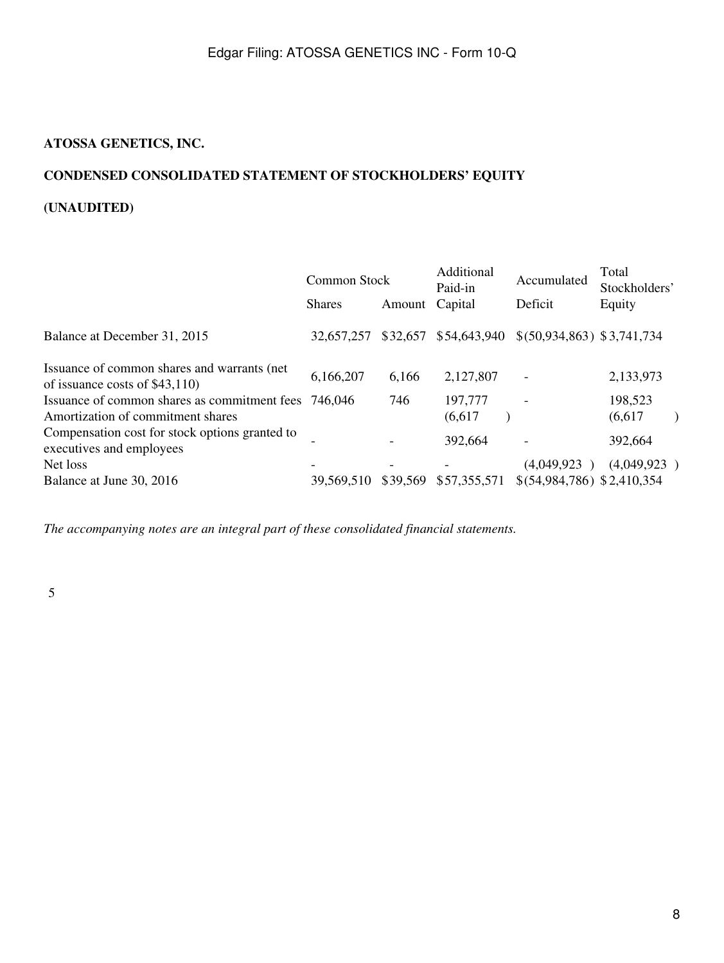## <span id="page-7-0"></span>**ATOSSA GENETICS, INC.**

## **CONDENSED CONSOLIDATED STATEMENT OF STOCKHOLDERS' EQUITY**

## **(UNAUDITED)**

|                                                      |          | Additional<br>Paid-in | Accumulated                 | Total<br>Stockholders' |
|------------------------------------------------------|----------|-----------------------|-----------------------------|------------------------|
| <b>Shares</b>                                        | Amount   | Capital               | Deficit                     | Equity                 |
| 32,657,257                                           |          |                       | \$(50,934,863) \$3,741,734  |                        |
| 6,166,207                                            | 6,166    | 2,127,807             |                             | 2,133,973              |
| Issuance of common shares as commitment fees 746,046 | 746      | 197,777<br>(6,617)    |                             | 198,523<br>(6,617)     |
|                                                      |          | 392,664               |                             | 392,664                |
|                                                      |          |                       | (4,049,923)                 | (4,049,923)            |
| 39,569,510                                           | \$39,569 | \$57,355,571          | $$(54,984,786)$ \$2,410,354 |                        |
|                                                      |          | <b>Common Stock</b>   | \$32,657 \$54,643,940       |                        |

*The accompanying notes are an integral part of these consolidated financial statements.*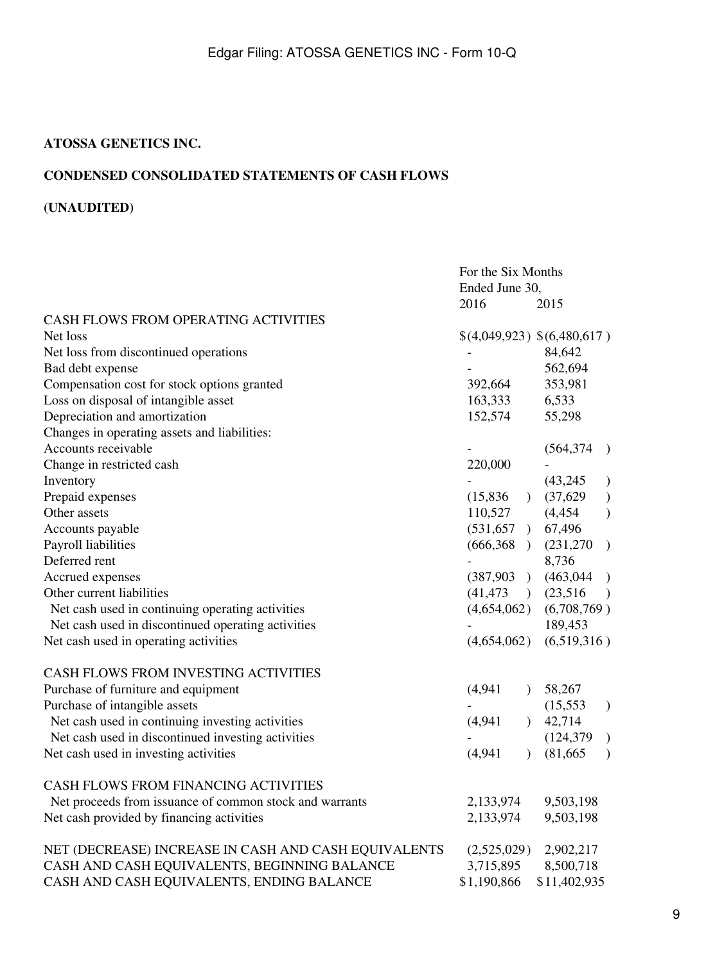### <span id="page-8-0"></span>**ATOSSA GENETICS INC.**

## **CONDENSED CONSOLIDATED STATEMENTS OF CASH FLOWS**

## **(UNAUDITED)**

|                                                         | For the Six Months          |                |              |                  |
|---------------------------------------------------------|-----------------------------|----------------|--------------|------------------|
|                                                         | Ended June 30,              |                |              |                  |
|                                                         | 2016                        |                | 2015         |                  |
| CASH FLOWS FROM OPERATING ACTIVITIES                    |                             |                |              |                  |
| Net loss                                                | \$(4,049,923) \$(6,480,617) |                |              |                  |
| Net loss from discontinued operations                   |                             |                | 84,642       |                  |
| Bad debt expense                                        |                             |                | 562,694      |                  |
| Compensation cost for stock options granted             | 392,664                     |                | 353,981      |                  |
| Loss on disposal of intangible asset                    | 163,333                     |                | 6,533        |                  |
| Depreciation and amortization                           | 152,574                     |                | 55,298       |                  |
| Changes in operating assets and liabilities:            |                             |                |              |                  |
| Accounts receivable                                     |                             |                | (564, 374)   | $\rightarrow$    |
| Change in restricted cash                               | 220,000                     |                |              |                  |
| Inventory                                               |                             |                | (43,245)     | $\mathcal{F}$    |
| Prepaid expenses                                        | (15,836)                    | $\Gamma$       | (37,629)     | $\big)$          |
| Other assets                                            | 110,527                     |                | (4, 454)     | $\mathcal{L}$    |
| Accounts payable                                        | (531, 657)                  |                | 67,496       |                  |
| Payroll liabilities                                     | (666,368)                   |                | (231,270)    | $\left( \right)$ |
| Deferred rent                                           |                             |                | 8,736        |                  |
| Accrued expenses                                        | (387,903)                   |                | (463, 044)   | $\big)$          |
| Other current liabilities                               | (41, 473)                   | $\rightarrow$  | (23,516)     | $\lambda$        |
| Net cash used in continuing operating activities        | (4,654,062)                 |                | (6,708,769)  |                  |
| Net cash used in discontinued operating activities      |                             |                | 189,453      |                  |
| Net cash used in operating activities                   | (4,654,062)                 |                | (6,519,316)  |                  |
| CASH FLOWS FROM INVESTING ACTIVITIES                    |                             |                |              |                  |
| Purchase of furniture and equipment                     | (4,941)                     | $\mathcal{L}$  | 58,267       |                  |
| Purchase of intangible assets                           |                             |                | (15, 553)    | $\mathcal{L}$    |
| Net cash used in continuing investing activities        | (4,941)                     | $\overline{)}$ | 42,714       |                  |
| Net cash used in discontinued investing activities      |                             |                | (124, 379)   | $\mathcal{L}$    |
| Net cash used in investing activities                   | (4,941)                     | $\mathcal{L}$  | (81, 665)    | $\lambda$        |
| CASH FLOWS FROM FINANCING ACTIVITIES                    |                             |                |              |                  |
| Net proceeds from issuance of common stock and warrants | 2,133,974                   |                | 9,503,198    |                  |
| Net cash provided by financing activities               | 2,133,974                   |                | 9,503,198    |                  |
| NET (DECREASE) INCREASE IN CASH AND CASH EQUIVALENTS    | (2,525,029)                 |                | 2,902,217    |                  |
| CASH AND CASH EQUIVALENTS, BEGINNING BALANCE            | 3,715,895                   |                | 8,500,718    |                  |
| CASH AND CASH EQUIVALENTS, ENDING BALANCE               | \$1,190,866                 |                | \$11,402,935 |                  |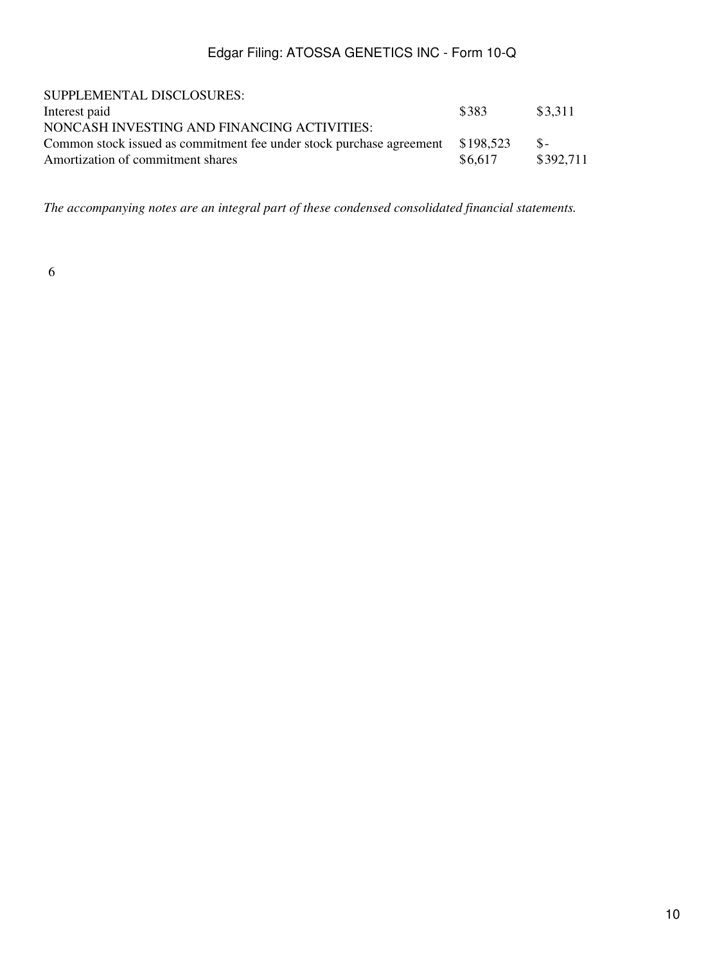| SUPPLEMENTAL DISCLOSURES:                                            |           |           |
|----------------------------------------------------------------------|-----------|-----------|
| Interest paid                                                        | \$383     | \$3.311   |
| NONCASH INVESTING AND FINANCING ACTIVITIES:                          |           |           |
| Common stock issued as commitment fee under stock purchase agreement | \$198.523 | $S-$      |
| Amortization of commitment shares                                    | \$6.617   | \$392.711 |

*The accompanying notes are an integral part of these condensed consolidated financial statements.*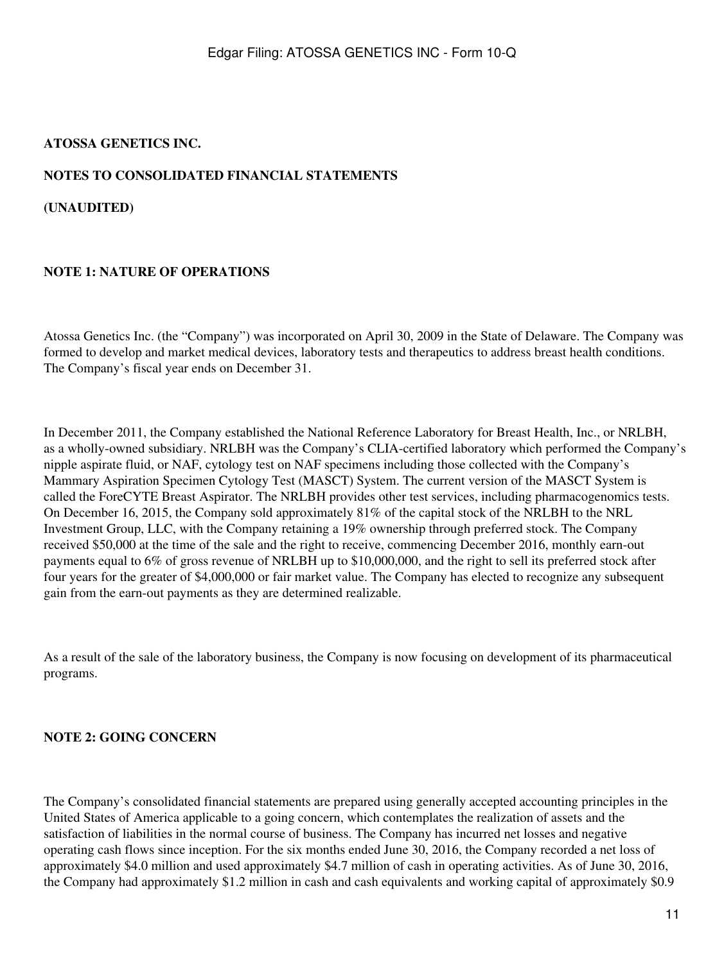### <span id="page-10-0"></span>**ATOSSA GENETICS INC.**

#### **NOTES TO CONSOLIDATED FINANCIAL STATEMENTS**

**(UNAUDITED)**

#### **NOTE 1: NATURE OF OPERATIONS**

Atossa Genetics Inc. (the "Company") was incorporated on April 30, 2009 in the State of Delaware. The Company was formed to develop and market medical devices, laboratory tests and therapeutics to address breast health conditions. The Company's fiscal year ends on December 31.

In December 2011, the Company established the National Reference Laboratory for Breast Health, Inc., or NRLBH, as a wholly-owned subsidiary. NRLBH was the Company's CLIA-certified laboratory which performed the Company's nipple aspirate fluid, or NAF, cytology test on NAF specimens including those collected with the Company's Mammary Aspiration Specimen Cytology Test (MASCT) System. The current version of the MASCT System is called the ForeCYTE Breast Aspirator. The NRLBH provides other test services, including pharmacogenomics tests. On December 16, 2015, the Company sold approximately 81% of the capital stock of the NRLBH to the NRL Investment Group, LLC, with the Company retaining a 19% ownership through preferred stock. The Company received \$50,000 at the time of the sale and the right to receive, commencing December 2016, monthly earn-out payments equal to 6% of gross revenue of NRLBH up to \$10,000,000, and the right to sell its preferred stock after four years for the greater of \$4,000,000 or fair market value. The Company has elected to recognize any subsequent gain from the earn-out payments as they are determined realizable.

As a result of the sale of the laboratory business, the Company is now focusing on development of its pharmaceutical programs.

#### **NOTE 2: GOING CONCERN**

The Company's consolidated financial statements are prepared using generally accepted accounting principles in the United States of America applicable to a going concern, which contemplates the realization of assets and the satisfaction of liabilities in the normal course of business. The Company has incurred net losses and negative operating cash flows since inception. For the six months ended June 30, 2016, the Company recorded a net loss of approximately \$4.0 million and used approximately \$4.7 million of cash in operating activities. As of June 30, 2016, the Company had approximately \$1.2 million in cash and cash equivalents and working capital of approximately \$0.9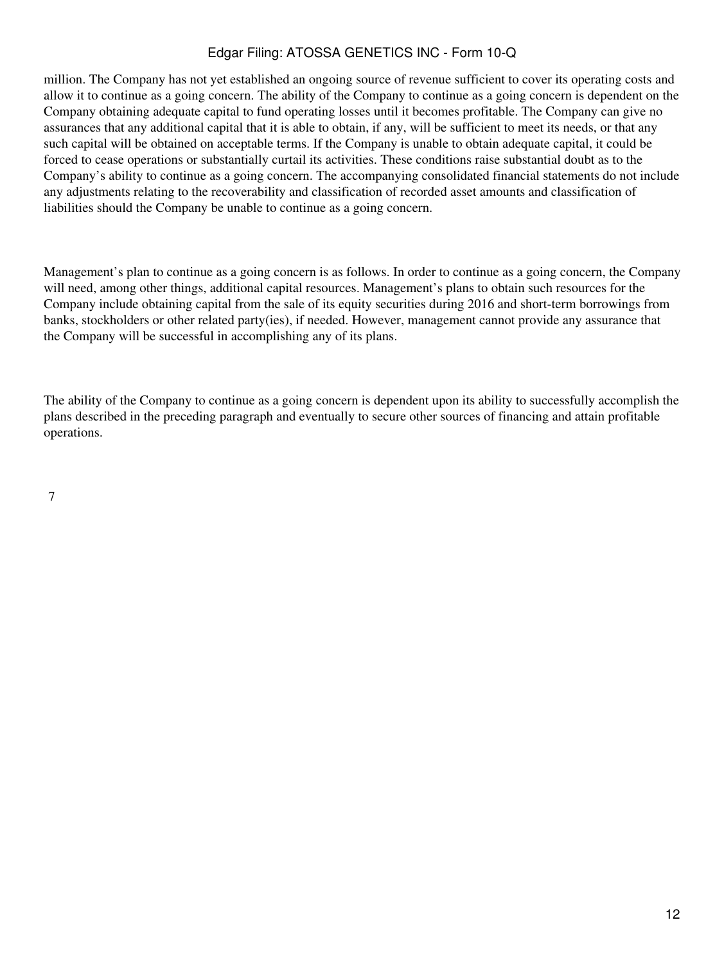million. The Company has not yet established an ongoing source of revenue sufficient to cover its operating costs and allow it to continue as a going concern. The ability of the Company to continue as a going concern is dependent on the Company obtaining adequate capital to fund operating losses until it becomes profitable. The Company can give no assurances that any additional capital that it is able to obtain, if any, will be sufficient to meet its needs, or that any such capital will be obtained on acceptable terms. If the Company is unable to obtain adequate capital, it could be forced to cease operations or substantially curtail its activities. These conditions raise substantial doubt as to the Company's ability to continue as a going concern. The accompanying consolidated financial statements do not include any adjustments relating to the recoverability and classification of recorded asset amounts and classification of liabilities should the Company be unable to continue as a going concern.

Management's plan to continue as a going concern is as follows. In order to continue as a going concern, the Company will need, among other things, additional capital resources. Management's plans to obtain such resources for the Company include obtaining capital from the sale of its equity securities during 2016 and short-term borrowings from banks, stockholders or other related party(ies), if needed. However, management cannot provide any assurance that the Company will be successful in accomplishing any of its plans.

The ability of the Company to continue as a going concern is dependent upon its ability to successfully accomplish the plans described in the preceding paragraph and eventually to secure other sources of financing and attain profitable operations.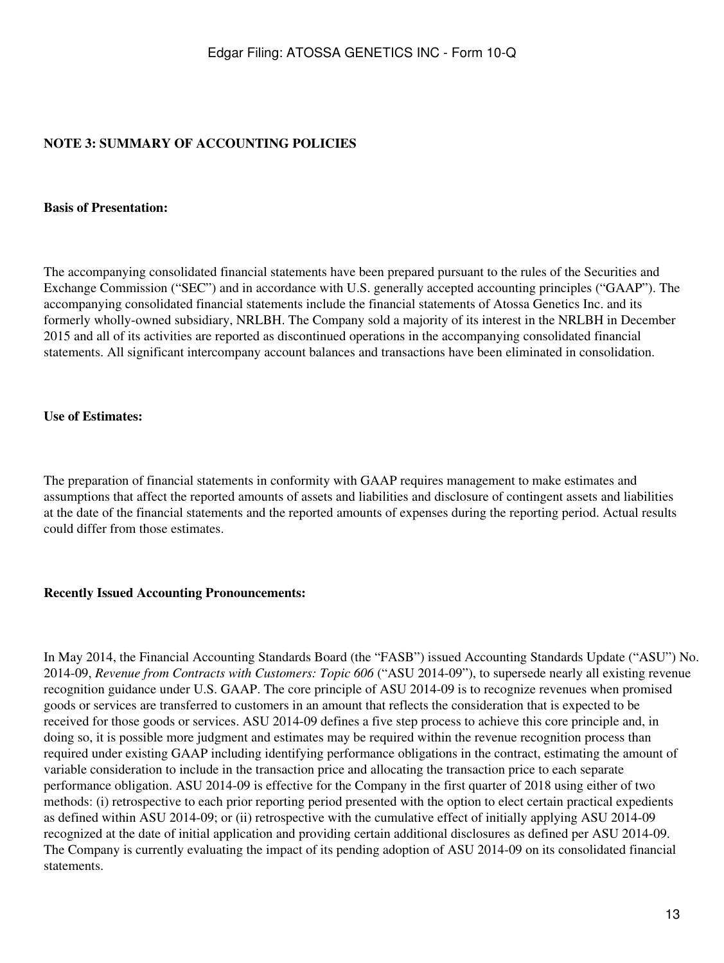## **NOTE 3: SUMMARY OF ACCOUNTING POLICIES**

#### **Basis of Presentation:**

The accompanying consolidated financial statements have been prepared pursuant to the rules of the Securities and Exchange Commission ("SEC") and in accordance with U.S. generally accepted accounting principles ("GAAP"). The accompanying consolidated financial statements include the financial statements of Atossa Genetics Inc. and its formerly wholly-owned subsidiary, NRLBH. The Company sold a majority of its interest in the NRLBH in December 2015 and all of its activities are reported as discontinued operations in the accompanying consolidated financial statements. All significant intercompany account balances and transactions have been eliminated in consolidation.

#### **Use of Estimates:**

The preparation of financial statements in conformity with GAAP requires management to make estimates and assumptions that affect the reported amounts of assets and liabilities and disclosure of contingent assets and liabilities at the date of the financial statements and the reported amounts of expenses during the reporting period. Actual results could differ from those estimates.

#### **Recently Issued Accounting Pronouncements:**

In May 2014, the Financial Accounting Standards Board (the "FASB") issued Accounting Standards Update ("ASU") No. 2014-09, *Revenue from Contracts with Customers: Topic 606* ("ASU 2014-09"), to supersede nearly all existing revenue recognition guidance under U.S. GAAP. The core principle of ASU 2014-09 is to recognize revenues when promised goods or services are transferred to customers in an amount that reflects the consideration that is expected to be received for those goods or services. ASU 2014-09 defines a five step process to achieve this core principle and, in doing so, it is possible more judgment and estimates may be required within the revenue recognition process than required under existing GAAP including identifying performance obligations in the contract, estimating the amount of variable consideration to include in the transaction price and allocating the transaction price to each separate performance obligation. ASU 2014-09 is effective for the Company in the first quarter of 2018 using either of two methods: (i) retrospective to each prior reporting period presented with the option to elect certain practical expedients as defined within ASU 2014-09; or (ii) retrospective with the cumulative effect of initially applying ASU 2014-09 recognized at the date of initial application and providing certain additional disclosures as defined per ASU 2014-09. The Company is currently evaluating the impact of its pending adoption of ASU 2014-09 on its consolidated financial statements.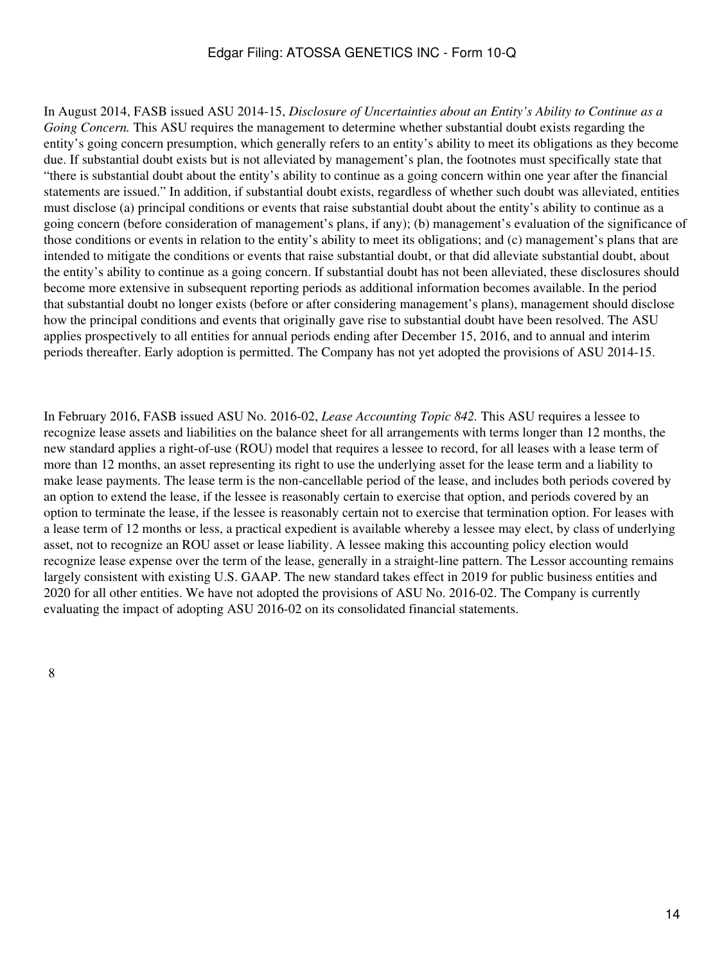In August 2014, FASB issued ASU 2014-15, *Disclosure of Uncertainties about an Entity's Ability to Continue as a Going Concern*. This ASU requires the management to determine whether substantial doubt exists regarding the entity's going concern presumption, which generally refers to an entity's ability to meet its obligations as they become due. If substantial doubt exists but is not alleviated by management's plan, the footnotes must specifically state that "there is substantial doubt about the entity's ability to continue as a going concern within one year after the financial statements are issued." In addition, if substantial doubt exists, regardless of whether such doubt was alleviated, entities must disclose (a) principal conditions or events that raise substantial doubt about the entity's ability to continue as a going concern (before consideration of management's plans, if any); (b) management's evaluation of the significance of those conditions or events in relation to the entity's ability to meet its obligations; and (c) management's plans that are intended to mitigate the conditions or events that raise substantial doubt, or that did alleviate substantial doubt, about the entity's ability to continue as a going concern. If substantial doubt has not been alleviated, these disclosures should become more extensive in subsequent reporting periods as additional information becomes available. In the period that substantial doubt no longer exists (before or after considering management's plans), management should disclose how the principal conditions and events that originally gave rise to substantial doubt have been resolved. The ASU applies prospectively to all entities for annual periods ending after December 15, 2016, and to annual and interim periods thereafter. Early adoption is permitted. The Company has not yet adopted the provisions of ASU 2014-15.

In February 2016, FASB issued ASU No. 2016-02, *Lease Accounting Topic 842.* This ASU requires a lessee to recognize lease assets and liabilities on the balance sheet for all arrangements with terms longer than 12 months, the new standard applies a right-of-use (ROU) model that requires a lessee to record, for all leases with a lease term of more than 12 months, an asset representing its right to use the underlying asset for the lease term and a liability to make lease payments. The lease term is the non-cancellable period of the lease, and includes both periods covered by an option to extend the lease, if the lessee is reasonably certain to exercise that option, and periods covered by an option to terminate the lease, if the lessee is reasonably certain not to exercise that termination option. For leases with a lease term of 12 months or less, a practical expedient is available whereby a lessee may elect, by class of underlying asset, not to recognize an ROU asset or lease liability. A lessee making this accounting policy election would recognize lease expense over the term of the lease, generally in a straight-line pattern. The Lessor accounting remains largely consistent with existing U.S. GAAP. The new standard takes effect in 2019 for public business entities and 2020 for all other entities. We have not adopted the provisions of ASU No. 2016-02. The Company is currently evaluating the impact of adopting ASU 2016-02 on its consolidated financial statements.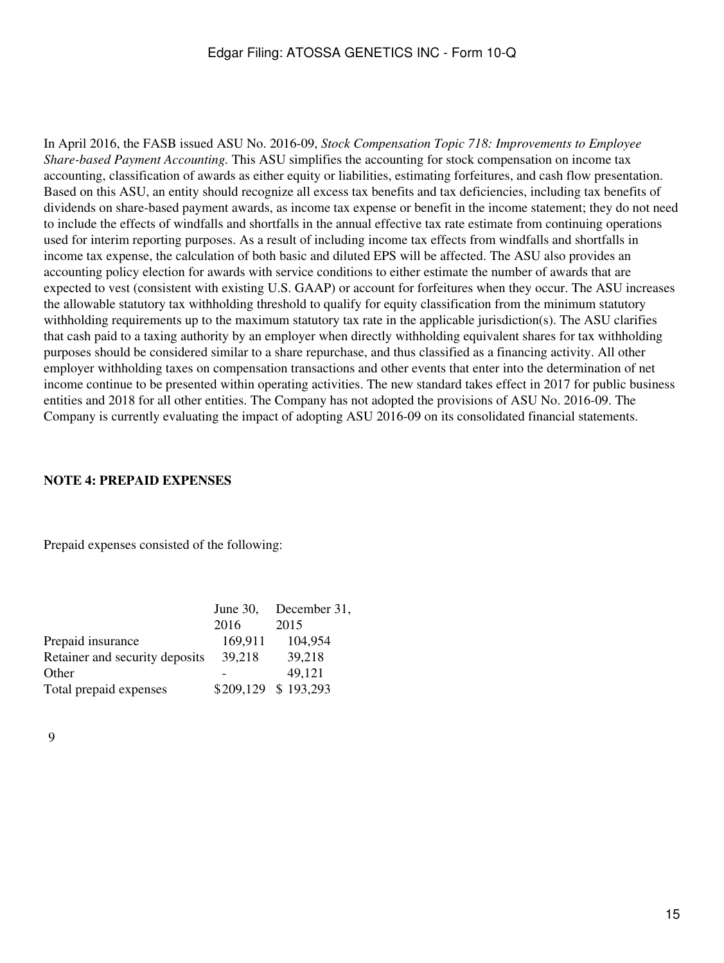In April 2016, the FASB issued ASU No. 2016-09, *Stock Compensation Topic 718: Improvements to Employee Share-based Payment Accounting.* This ASU simplifies the accounting for stock compensation on income tax accounting, classification of awards as either equity or liabilities, estimating forfeitures, and cash flow presentation. Based on this ASU, an entity should recognize all excess tax benefits and tax deficiencies, including tax benefits of dividends on share-based payment awards, as income tax expense or benefit in the income statement; they do not need to include the effects of windfalls and shortfalls in the annual effective tax rate estimate from continuing operations used for interim reporting purposes. As a result of including income tax effects from windfalls and shortfalls in income tax expense, the calculation of both basic and diluted EPS will be affected. The ASU also provides an accounting policy election for awards with service conditions to either estimate the number of awards that are expected to vest (consistent with existing U.S. GAAP) or account for forfeitures when they occur. The ASU increases the allowable statutory tax withholding threshold to qualify for equity classification from the minimum statutory withholding requirements up to the maximum statutory tax rate in the applicable jurisdiction(s). The ASU clarifies that cash paid to a taxing authority by an employer when directly withholding equivalent shares for tax withholding purposes should be considered similar to a share repurchase, and thus classified as a financing activity. All other employer withholding taxes on compensation transactions and other events that enter into the determination of net income continue to be presented within operating activities. The new standard takes effect in 2017 for public business entities and 2018 for all other entities. The Company has not adopted the provisions of ASU No. 2016-09. The Company is currently evaluating the impact of adopting ASU 2016-09 on its consolidated financial statements.

#### **NOTE 4: PREPAID EXPENSES**

Prepaid expenses consisted of the following:

| June $30$ , | December 31,        |
|-------------|---------------------|
| 2016        | 2015                |
| 169,911     | 104,954             |
| 39,218      | 39,218              |
|             | 49,121              |
|             | \$209,129 \$193,293 |
|             |                     |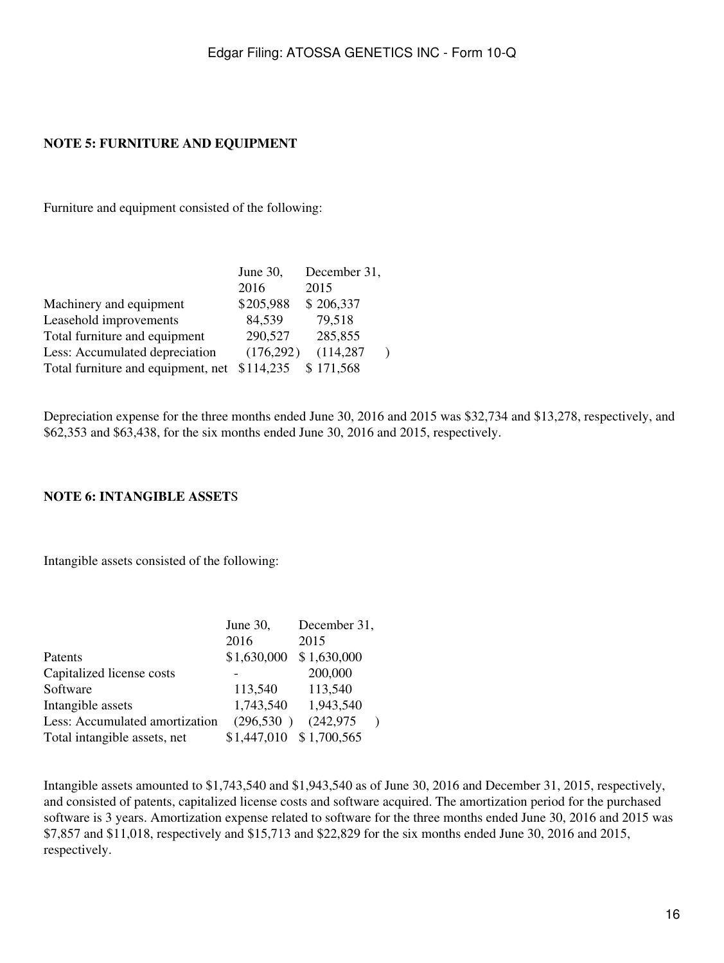## **NOTE 5: FURNITURE AND EQUIPMENT**

Furniture and equipment consisted of the following:

|                                    | June $30$ , | December 31, |
|------------------------------------|-------------|--------------|
|                                    | 2016        | 2015         |
| Machinery and equipment            | \$205,988   | \$206,337    |
| Leasehold improvements             | 84,539      | 79,518       |
| Total furniture and equipment      | 290,527     | 285,855      |
| Less: Accumulated depreciation     | (176, 292)  | (114, 287)   |
| Total furniture and equipment, net | \$114,235   | \$171,568    |

Depreciation expense for the three months ended June 30, 2016 and 2015 was \$32,734 and \$13,278, respectively, and \$62,353 and \$63,438, for the six months ended June 30, 2016 and 2015, respectively.

#### **NOTE 6: INTANGIBLE ASSET**S

Intangible assets consisted of the following:

|                                | June 30,    | December 31, |  |
|--------------------------------|-------------|--------------|--|
|                                | 2016        | 2015         |  |
| Patents                        | \$1,630,000 | \$1,630,000  |  |
| Capitalized license costs      |             | 200,000      |  |
| Software                       | 113,540     | 113,540      |  |
| Intangible assets              | 1,743,540   | 1,943,540    |  |
| Less: Accumulated amortization | (296, 530)  | (242, 975)   |  |
| Total intangible assets, net   | \$1,447,010 | \$1,700,565  |  |

Intangible assets amounted to \$1,743,540 and \$1,943,540 as of June 30, 2016 and December 31, 2015, respectively, and consisted of patents, capitalized license costs and software acquired. The amortization period for the purchased software is 3 years. Amortization expense related to software for the three months ended June 30, 2016 and 2015 was \$7,857 and \$11,018, respectively and \$15,713 and \$22,829 for the six months ended June 30, 2016 and 2015, respectively.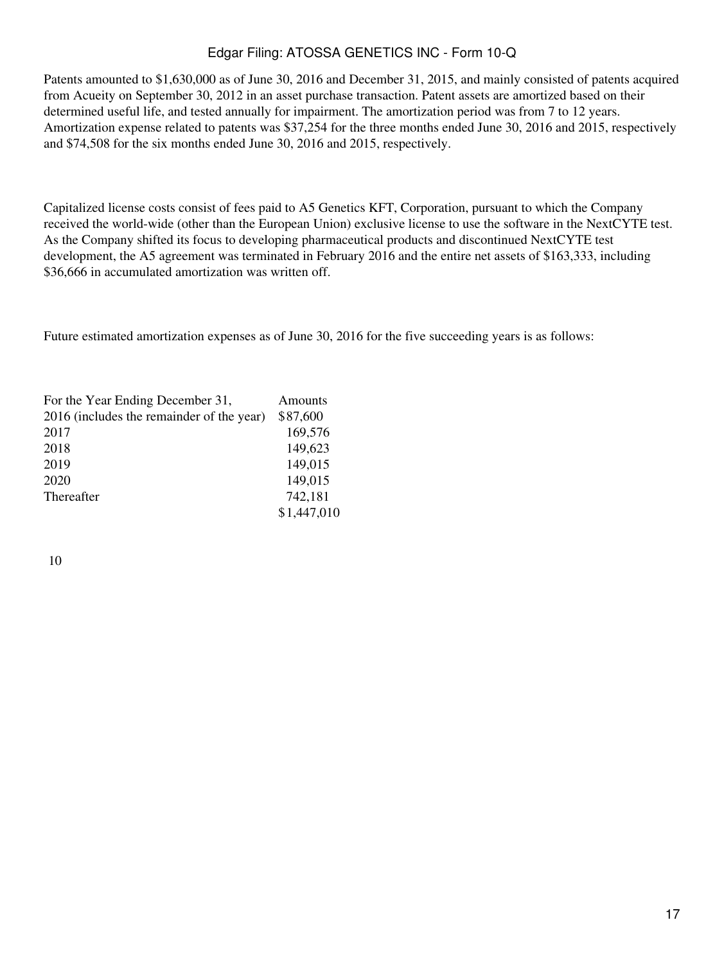Patents amounted to \$1,630,000 as of June 30, 2016 and December 31, 2015, and mainly consisted of patents acquired from Acueity on September 30, 2012 in an asset purchase transaction. Patent assets are amortized based on their determined useful life, and tested annually for impairment. The amortization period was from 7 to 12 years. Amortization expense related to patents was \$37,254 for the three months ended June 30, 2016 and 2015, respectively and \$74,508 for the six months ended June 30, 2016 and 2015, respectively.

Capitalized license costs consist of fees paid to A5 Genetics KFT, Corporation, pursuant to which the Company received the world-wide (other than the European Union) exclusive license to use the software in the NextCYTE test. As the Company shifted its focus to developing pharmaceutical products and discontinued NextCYTE test development, the A5 agreement was terminated in February 2016 and the entire net assets of \$163,333, including \$36,666 in accumulated amortization was written off.

Future estimated amortization expenses as of June 30, 2016 for the five succeeding years is as follows:

| For the Year Ending December 31,          | Amounts     |
|-------------------------------------------|-------------|
| 2016 (includes the remainder of the year) | \$87,600    |
| 2017                                      | 169,576     |
| 2018                                      | 149,623     |
| 2019                                      | 149,015     |
| 2020                                      | 149,015     |
| Thereafter                                | 742,181     |
|                                           | \$1,447,010 |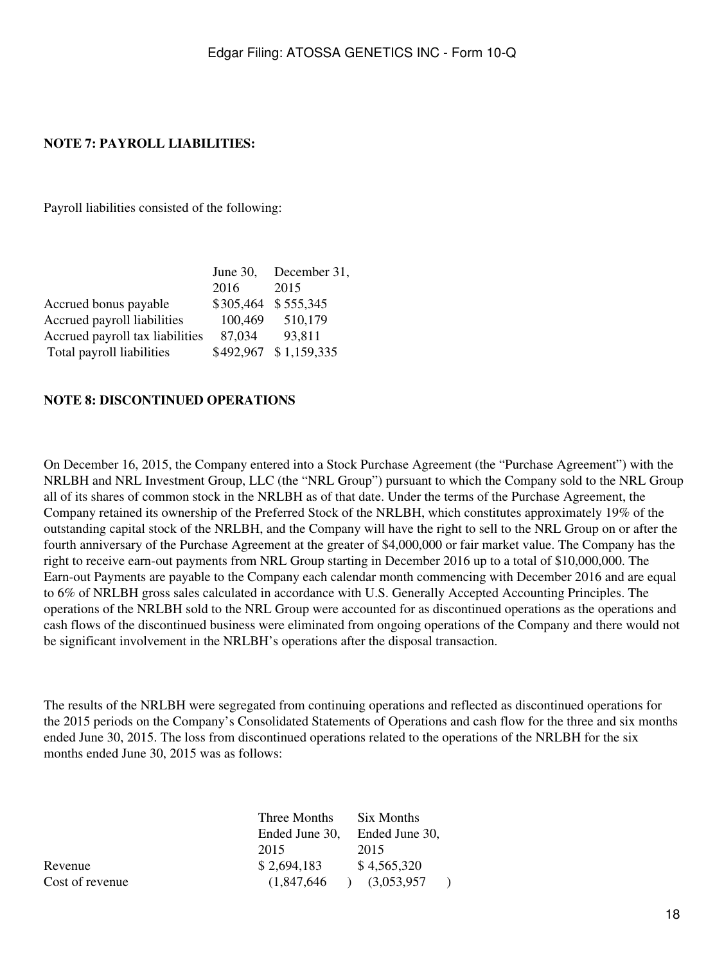## **NOTE 7: PAYROLL LIABILITIES:**

Payroll liabilities consisted of the following:

|                                 | June $30$ , | December 31,          |
|---------------------------------|-------------|-----------------------|
|                                 | 2016        | 2015                  |
| Accrued bonus payable           |             | \$305,464 \$555,345   |
| Accrued payroll liabilities     | 100,469     | 510,179               |
| Accrued payroll tax liabilities | 87,034      | 93,811                |
| Total payroll liabilities       |             | \$492,967 \$1,159,335 |

#### **NOTE 8: DISCONTINUED OPERATIONS**

On December 16, 2015, the Company entered into a Stock Purchase Agreement (the "Purchase Agreement") with the NRLBH and NRL Investment Group, LLC (the "NRL Group") pursuant to which the Company sold to the NRL Group all of its shares of common stock in the NRLBH as of that date. Under the terms of the Purchase Agreement, the Company retained its ownership of the Preferred Stock of the NRLBH, which constitutes approximately 19% of the outstanding capital stock of the NRLBH, and the Company will have the right to sell to the NRL Group on or after the fourth anniversary of the Purchase Agreement at the greater of \$4,000,000 or fair market value. The Company has the right to receive earn-out payments from NRL Group starting in December 2016 up to a total of \$10,000,000. The Earn-out Payments are payable to the Company each calendar month commencing with December 2016 and are equal to 6% of NRLBH gross sales calculated in accordance with U.S. Generally Accepted Accounting Principles. The operations of the NRLBH sold to the NRL Group were accounted for as discontinued operations as the operations and cash flows of the discontinued business were eliminated from ongoing operations of the Company and there would not be significant involvement in the NRLBH's operations after the disposal transaction.

The results of the NRLBH were segregated from continuing operations and reflected as discontinued operations for the 2015 periods on the Company's Consolidated Statements of Operations and cash flow for the three and six months ended June 30, 2015. The loss from discontinued operations related to the operations of the NRLBH for the six months ended June 30, 2015 was as follows:

|                 | Three Months   | Six Months     |
|-----------------|----------------|----------------|
|                 | Ended June 30. | Ended June 30. |
|                 | 2015           | 2015           |
| Revenue         | \$2,694,183    | \$4,565,320    |
| Cost of revenue | (1.847.646)    | (3,053,957)    |
|                 |                |                |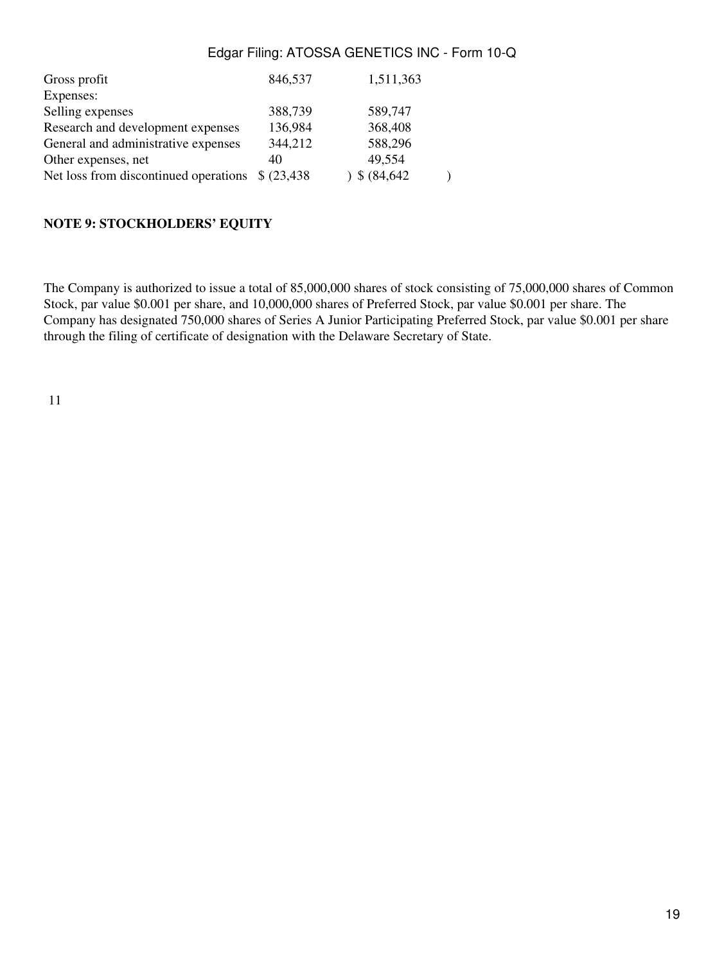| Gross profit                          | 846,537     | 1,511,363   |  |
|---------------------------------------|-------------|-------------|--|
| Expenses:                             |             |             |  |
| Selling expenses                      | 388,739     | 589,747     |  |
| Research and development expenses     | 136,984     | 368,408     |  |
| General and administrative expenses   | 344,212     | 588,296     |  |
| Other expenses, net                   | 40          | 49,554      |  |
| Net loss from discontinued operations | \$ (23,438) | \$ (84,642) |  |

#### **NOTE 9: STOCKHOLDERS' EQUITY**

The Company is authorized to issue a total of 85,000,000 shares of stock consisting of 75,000,000 shares of Common Stock, par value \$0.001 per share, and 10,000,000 shares of Preferred Stock, par value \$0.001 per share. The Company has designated 750,000 shares of Series A Junior Participating Preferred Stock, par value \$0.001 per share through the filing of certificate of designation with the Delaware Secretary of State.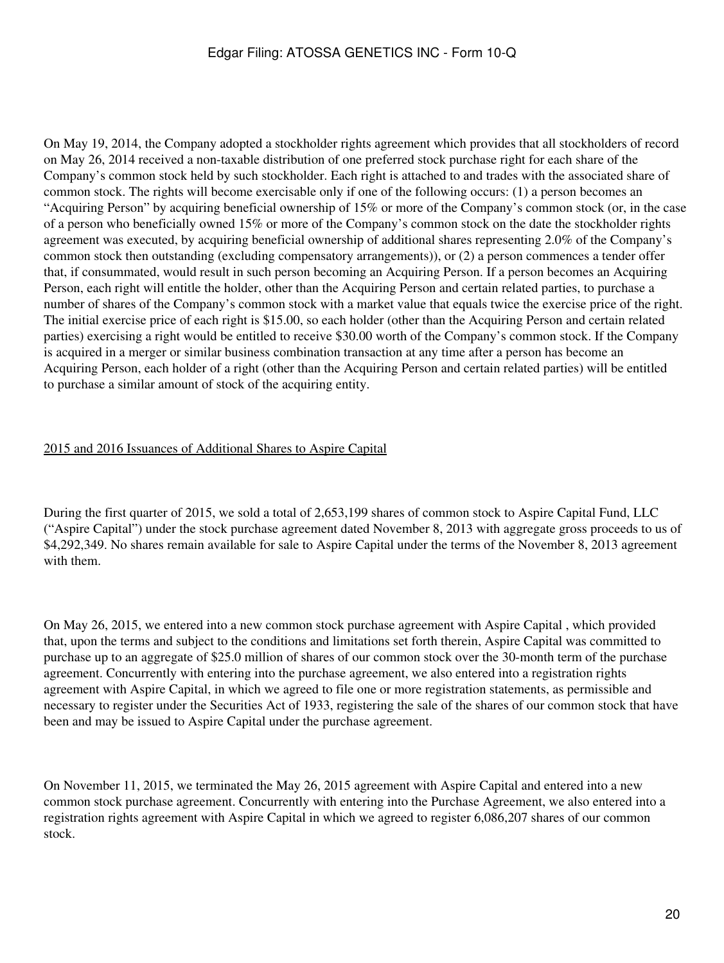On May 19, 2014, the Company adopted a stockholder rights agreement which provides that all stockholders of record on May 26, 2014 received a non-taxable distribution of one preferred stock purchase right for each share of the Company's common stock held by such stockholder. Each right is attached to and trades with the associated share of common stock. The rights will become exercisable only if one of the following occurs: (1) a person becomes an "Acquiring Person" by acquiring beneficial ownership of 15% or more of the Company's common stock (or, in the case of a person who beneficially owned 15% or more of the Company's common stock on the date the stockholder rights agreement was executed, by acquiring beneficial ownership of additional shares representing 2.0% of the Company's common stock then outstanding (excluding compensatory arrangements)), or (2) a person commences a tender offer that, if consummated, would result in such person becoming an Acquiring Person. If a person becomes an Acquiring Person, each right will entitle the holder, other than the Acquiring Person and certain related parties, to purchase a number of shares of the Company's common stock with a market value that equals twice the exercise price of the right. The initial exercise price of each right is \$15.00, so each holder (other than the Acquiring Person and certain related parties) exercising a right would be entitled to receive \$30.00 worth of the Company's common stock. If the Company is acquired in a merger or similar business combination transaction at any time after a person has become an Acquiring Person, each holder of a right (other than the Acquiring Person and certain related parties) will be entitled to purchase a similar amount of stock of the acquiring entity.

## 2015 and 2016 Issuances of Additional Shares to Aspire Capital

During the first quarter of 2015, we sold a total of 2,653,199 shares of common stock to Aspire Capital Fund, LLC ("Aspire Capital") under the stock purchase agreement dated November 8, 2013 with aggregate gross proceeds to us of \$4,292,349. No shares remain available for sale to Aspire Capital under the terms of the November 8, 2013 agreement with them.

On May 26, 2015, we entered into a new common stock purchase agreement with Aspire Capital , which provided that, upon the terms and subject to the conditions and limitations set forth therein, Aspire Capital was committed to purchase up to an aggregate of \$25.0 million of shares of our common stock over the 30-month term of the purchase agreement. Concurrently with entering into the purchase agreement, we also entered into a registration rights agreement with Aspire Capital, in which we agreed to file one or more registration statements, as permissible and necessary to register under the Securities Act of 1933, registering the sale of the shares of our common stock that have been and may be issued to Aspire Capital under the purchase agreement.

On November 11, 2015, we terminated the May 26, 2015 agreement with Aspire Capital and entered into a new common stock purchase agreement. Concurrently with entering into the Purchase Agreement, we also entered into a registration rights agreement with Aspire Capital in which we agreed to register 6,086,207 shares of our common stock.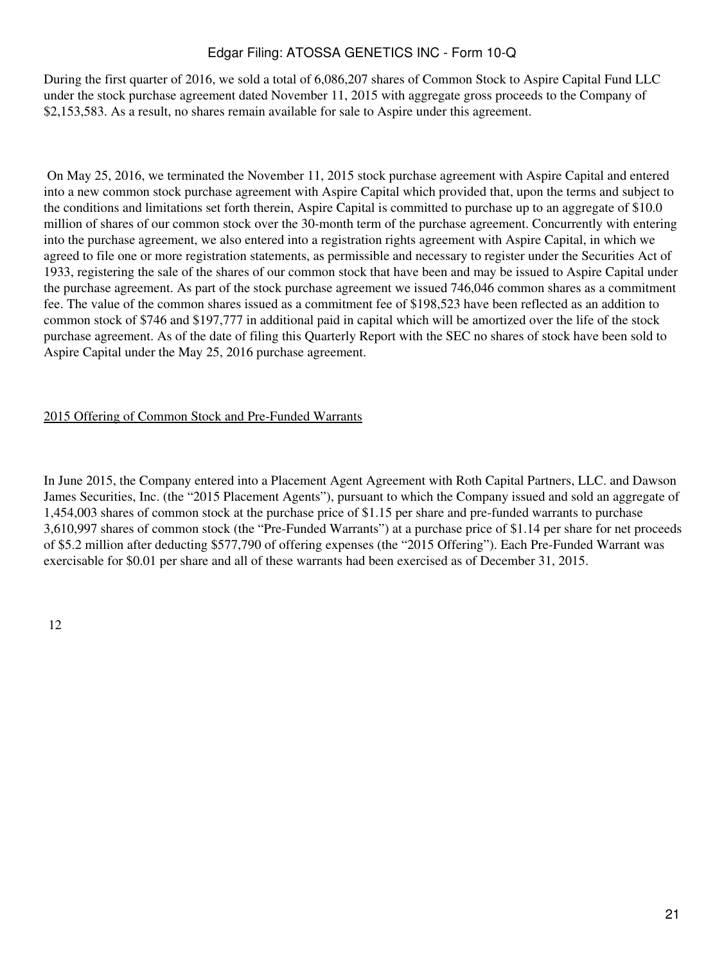During the first quarter of 2016, we sold a total of 6,086,207 shares of Common Stock to Aspire Capital Fund LLC under the stock purchase agreement dated November 11, 2015 with aggregate gross proceeds to the Company of \$2,153,583. As a result, no shares remain available for sale to Aspire under this agreement.

 On May 25, 2016, we terminated the November 11, 2015 stock purchase agreement with Aspire Capital and entered into a new common stock purchase agreement with Aspire Capital which provided that, upon the terms and subject to the conditions and limitations set forth therein, Aspire Capital is committed to purchase up to an aggregate of \$10.0 million of shares of our common stock over the 30-month term of the purchase agreement. Concurrently with entering into the purchase agreement, we also entered into a registration rights agreement with Aspire Capital, in which we agreed to file one or more registration statements, as permissible and necessary to register under the Securities Act of 1933, registering the sale of the shares of our common stock that have been and may be issued to Aspire Capital under the purchase agreement. As part of the stock purchase agreement we issued 746,046 common shares as a commitment fee. The value of the common shares issued as a commitment fee of \$198,523 have been reflected as an addition to common stock of \$746 and \$197,777 in additional paid in capital which will be amortized over the life of the stock purchase agreement. As of the date of filing this Quarterly Report with the SEC no shares of stock have been sold to Aspire Capital under the May 25, 2016 purchase agreement.

#### 2015 Offering of Common Stock and Pre-Funded Warrants

In June 2015, the Company entered into a Placement Agent Agreement with Roth Capital Partners, LLC. and Dawson James Securities, Inc. (the "2015 Placement Agents"), pursuant to which the Company issued and sold an aggregate of 1,454,003 shares of common stock at the purchase price of \$1.15 per share and pre-funded warrants to purchase 3,610,997 shares of common stock (the "Pre-Funded Warrants") at a purchase price of \$1.14 per share for net proceeds of \$5.2 million after deducting \$577,790 of offering expenses (the "2015 Offering"). Each Pre-Funded Warrant was exercisable for \$0.01 per share and all of these warrants had been exercised as of December 31, 2015.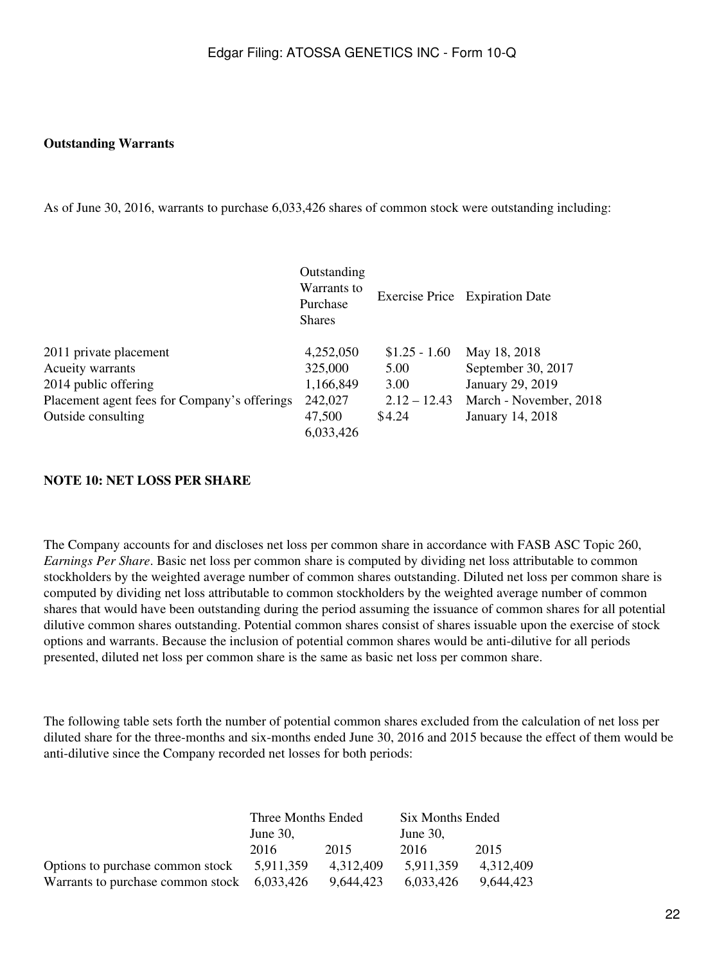#### **Outstanding Warrants**

As of June 30, 2016, warrants to purchase 6,033,426 shares of common stock were outstanding including:

|                                              | Outstanding<br>Warrants to<br>Purchase<br><b>Shares</b> |                | Exercise Price Expiration Date |
|----------------------------------------------|---------------------------------------------------------|----------------|--------------------------------|
| 2011 private placement                       | 4,252,050                                               | $$1.25 - 1.60$ | May 18, 2018                   |
| Acueity warrants                             | 325,000                                                 | 5.00           | September 30, 2017             |
| 2014 public offering                         | 1,166,849                                               | 3.00           | January 29, 2019               |
| Placement agent fees for Company's offerings | 242,027                                                 | $2.12 - 12.43$ | March - November, 2018         |
| Outside consulting                           | 47,500                                                  | \$4.24         | January 14, 2018               |
|                                              | 6,033,426                                               |                |                                |

#### **NOTE 10: NET LOSS PER SHARE**

The Company accounts for and discloses net loss per common share in accordance with FASB ASC Topic 260, *Earnings Per Share*. Basic net loss per common share is computed by dividing net loss attributable to common stockholders by the weighted average number of common shares outstanding. Diluted net loss per common share is computed by dividing net loss attributable to common stockholders by the weighted average number of common shares that would have been outstanding during the period assuming the issuance of common shares for all potential dilutive common shares outstanding. Potential common shares consist of shares issuable upon the exercise of stock options and warrants. Because the inclusion of potential common shares would be anti-dilutive for all periods presented, diluted net loss per common share is the same as basic net loss per common share.

The following table sets forth the number of potential common shares excluded from the calculation of net loss per diluted share for the three-months and six-months ended June 30, 2016 and 2015 because the effect of them would be anti-dilutive since the Company recorded net losses for both periods:

|                                               | Three Months Ended |           | Six Months Ended |           |
|-----------------------------------------------|--------------------|-----------|------------------|-----------|
|                                               | June $30$ .        |           | June $30$ .      |           |
|                                               | 2016               | 2015      | 2016             | 2015      |
| Options to purchase common stock              | 5.911.359          | 4.312.409 | 5.911.359        | 4.312.409 |
| Warrants to purchase common stock $6,033,426$ |                    | 9,644,423 | 6,033,426        | 9,644,423 |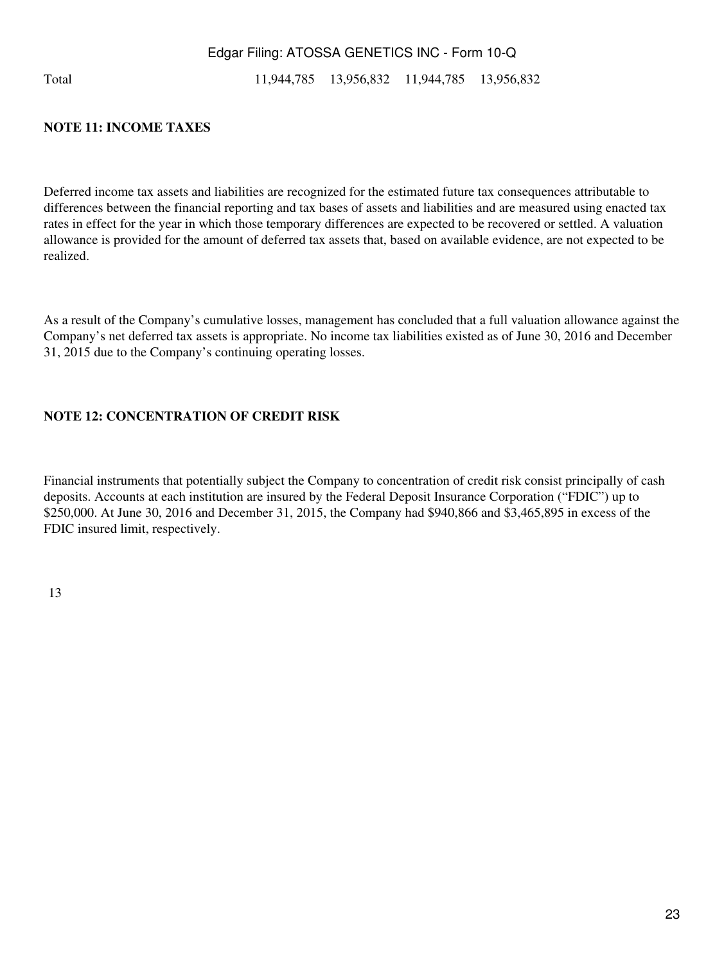Total 11,944,785 13,956,832 11,944,785 13,956,832

#### **NOTE 11: INCOME TAXES**

Deferred income tax assets and liabilities are recognized for the estimated future tax consequences attributable to differences between the financial reporting and tax bases of assets and liabilities and are measured using enacted tax rates in effect for the year in which those temporary differences are expected to be recovered or settled. A valuation allowance is provided for the amount of deferred tax assets that, based on available evidence, are not expected to be realized.

As a result of the Company's cumulative losses, management has concluded that a full valuation allowance against the Company's net deferred tax assets is appropriate. No income tax liabilities existed as of June 30, 2016 and December 31, 2015 due to the Company's continuing operating losses.

#### **NOTE 12: CONCENTRATION OF CREDIT RISK**

Financial instruments that potentially subject the Company to concentration of credit risk consist principally of cash deposits. Accounts at each institution are insured by the Federal Deposit Insurance Corporation ("FDIC") up to \$250,000. At June 30, 2016 and December 31, 2015, the Company had \$940,866 and \$3,465,895 in excess of the FDIC insured limit, respectively.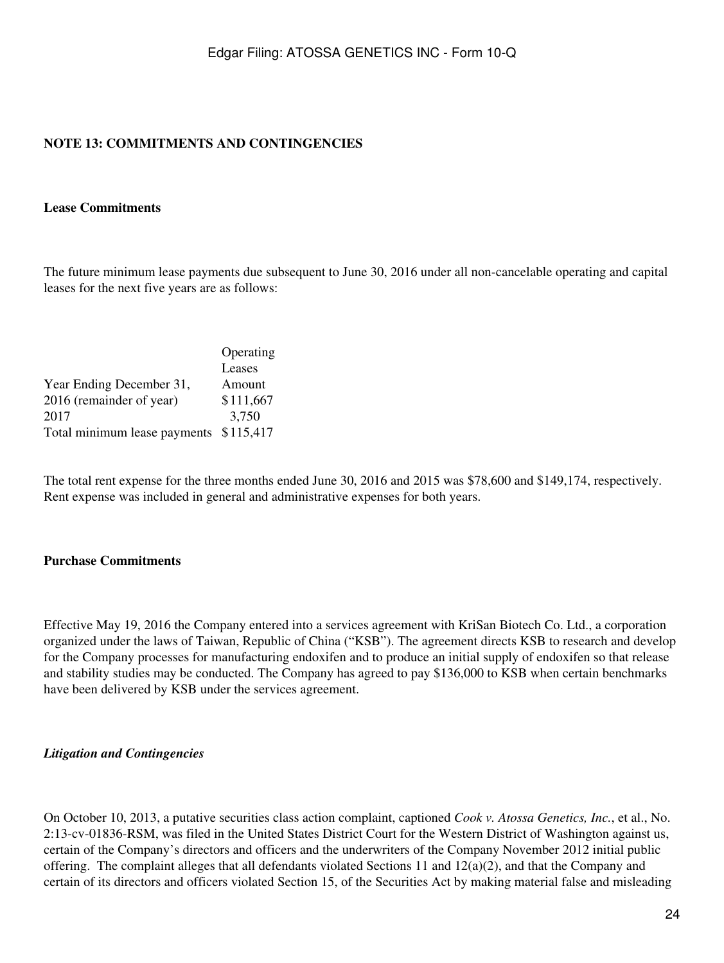## **NOTE 13: COMMITMENTS AND CONTINGENCIES**

#### **Lease Commitments**

The future minimum lease payments due subsequent to June 30, 2016 under all non-cancelable operating and capital leases for the next five years are as follows:

|                                        | Operating |
|----------------------------------------|-----------|
|                                        | Leases    |
| Year Ending December 31,               | Amount    |
| 2016 (remainder of year)               | \$111,667 |
| 2017                                   | 3,750     |
| Total minimum lease payments \$115,417 |           |

The total rent expense for the three months ended June 30, 2016 and 2015 was \$78,600 and \$149,174, respectively. Rent expense was included in general and administrative expenses for both years.

#### **Purchase Commitments**

Effective May 19, 2016 the Company entered into a services agreement with KriSan Biotech Co. Ltd., a corporation organized under the laws of Taiwan, Republic of China ("KSB"). The agreement directs KSB to research and develop for the Company processes for manufacturing endoxifen and to produce an initial supply of endoxifen so that release and stability studies may be conducted. The Company has agreed to pay \$136,000 to KSB when certain benchmarks have been delivered by KSB under the services agreement.

#### *Litigation and Contingencies*

On October 10, 2013, a putative securities class action complaint, captioned *Cook v. Atossa Genetics, Inc.*, et al., No. 2:13-cv-01836-RSM, was filed in the United States District Court for the Western District of Washington against us, certain of the Company's directors and officers and the underwriters of the Company November 2012 initial public offering. The complaint alleges that all defendants violated Sections 11 and  $12(a)(2)$ , and that the Company and certain of its directors and officers violated Section 15, of the Securities Act by making material false and misleading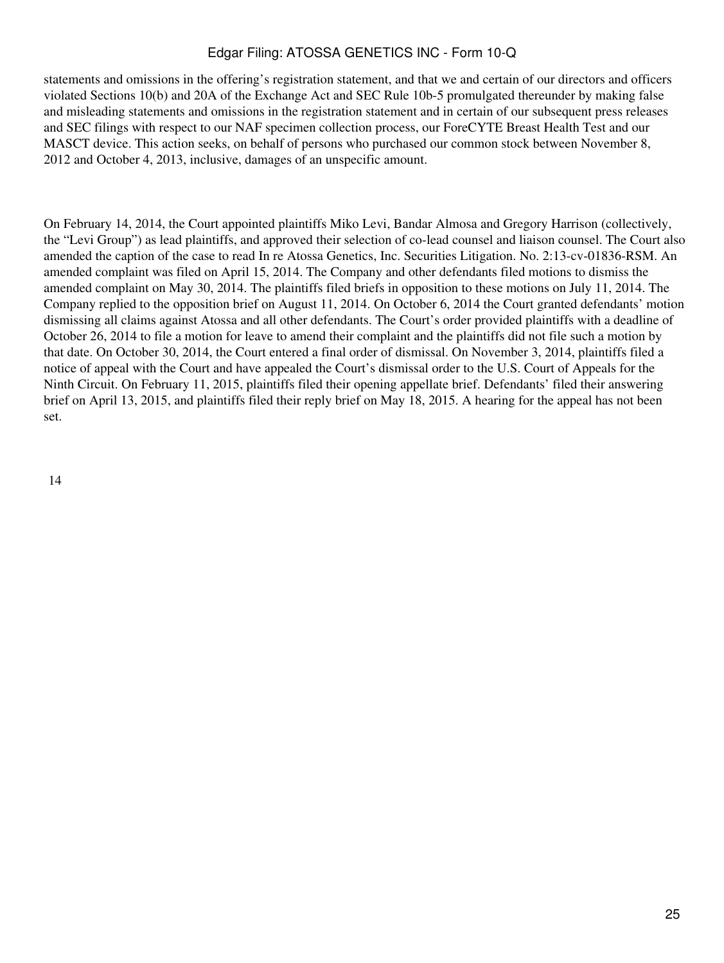statements and omissions in the offering's registration statement, and that we and certain of our directors and officers violated Sections 10(b) and 20A of the Exchange Act and SEC Rule 10b-5 promulgated thereunder by making false and misleading statements and omissions in the registration statement and in certain of our subsequent press releases and SEC filings with respect to our NAF specimen collection process, our ForeCYTE Breast Health Test and our MASCT device. This action seeks, on behalf of persons who purchased our common stock between November 8, 2012 and October 4, 2013, inclusive, damages of an unspecific amount.

On February 14, 2014, the Court appointed plaintiffs Miko Levi, Bandar Almosa and Gregory Harrison (collectively, the "Levi Group") as lead plaintiffs, and approved their selection of co-lead counsel and liaison counsel. The Court also amended the caption of the case to read In re Atossa Genetics, Inc. Securities Litigation. No. 2:13-cv-01836-RSM. An amended complaint was filed on April 15, 2014. The Company and other defendants filed motions to dismiss the amended complaint on May 30, 2014. The plaintiffs filed briefs in opposition to these motions on July 11, 2014. The Company replied to the opposition brief on August 11, 2014. On October 6, 2014 the Court granted defendants' motion dismissing all claims against Atossa and all other defendants. The Court's order provided plaintiffs with a deadline of October 26, 2014 to file a motion for leave to amend their complaint and the plaintiffs did not file such a motion by that date. On October 30, 2014, the Court entered a final order of dismissal. On November 3, 2014, plaintiffs filed a notice of appeal with the Court and have appealed the Court's dismissal order to the U.S. Court of Appeals for the Ninth Circuit. On February 11, 2015, plaintiffs filed their opening appellate brief. Defendants' filed their answering brief on April 13, 2015, and plaintiffs filed their reply brief on May 18, 2015. A hearing for the appeal has not been set.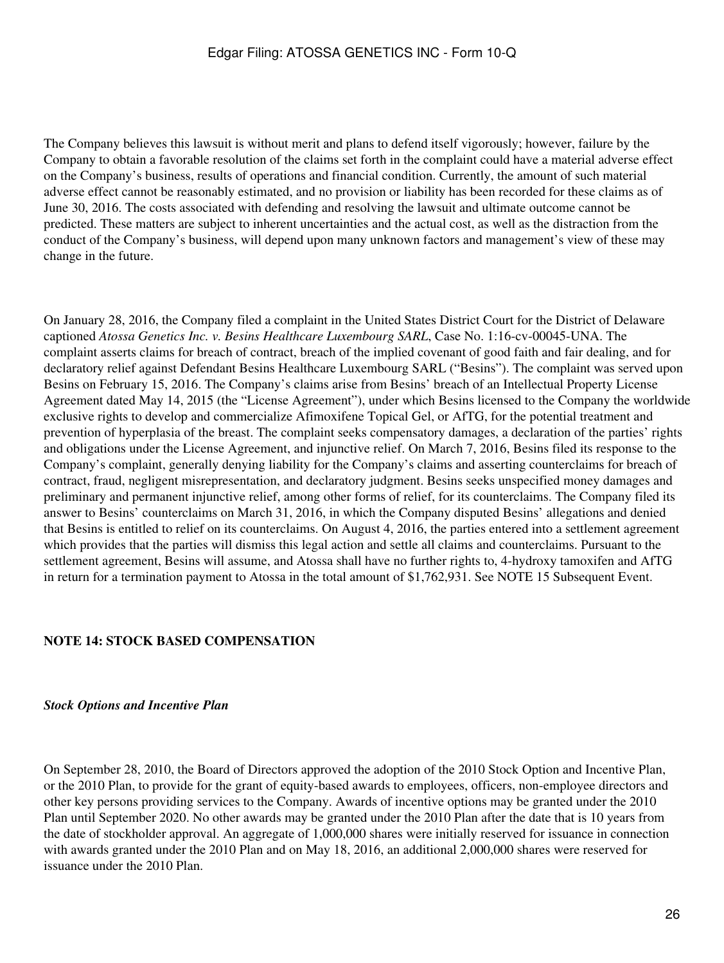The Company believes this lawsuit is without merit and plans to defend itself vigorously; however, failure by the Company to obtain a favorable resolution of the claims set forth in the complaint could have a material adverse effect on the Company's business, results of operations and financial condition. Currently, the amount of such material adverse effect cannot be reasonably estimated, and no provision or liability has been recorded for these claims as of June 30, 2016. The costs associated with defending and resolving the lawsuit and ultimate outcome cannot be predicted. These matters are subject to inherent uncertainties and the actual cost, as well as the distraction from the conduct of the Company's business, will depend upon many unknown factors and management's view of these may change in the future.

On January 28, 2016, the Company filed a complaint in the United States District Court for the District of Delaware captioned *Atossa Genetics Inc. v. Besins Healthcare Luxembourg SARL*, Case No. 1:16-cv-00045-UNA. The complaint asserts claims for breach of contract, breach of the implied covenant of good faith and fair dealing, and for declaratory relief against Defendant Besins Healthcare Luxembourg SARL ("Besins"). The complaint was served upon Besins on February 15, 2016. The Company's claims arise from Besins' breach of an Intellectual Property License Agreement dated May 14, 2015 (the "License Agreement"), under which Besins licensed to the Company the worldwide exclusive rights to develop and commercialize Afimoxifene Topical Gel, or AfTG, for the potential treatment and prevention of hyperplasia of the breast. The complaint seeks compensatory damages, a declaration of the parties' rights and obligations under the License Agreement, and injunctive relief. On March 7, 2016, Besins filed its response to the Company's complaint, generally denying liability for the Company's claims and asserting counterclaims for breach of contract, fraud, negligent misrepresentation, and declaratory judgment. Besins seeks unspecified money damages and preliminary and permanent injunctive relief, among other forms of relief, for its counterclaims. The Company filed its answer to Besins' counterclaims on March 31, 2016, in which the Company disputed Besins' allegations and denied that Besins is entitled to relief on its counterclaims. On August 4, 2016, the parties entered into a settlement agreement which provides that the parties will dismiss this legal action and settle all claims and counterclaims. Pursuant to the settlement agreement, Besins will assume, and Atossa shall have no further rights to, 4-hydroxy tamoxifen and AfTG in return for a termination payment to Atossa in the total amount of \$1,762,931. See NOTE 15 Subsequent Event.

#### **NOTE 14: STOCK BASED COMPENSATION**

#### *Stock Options and Incentive Plan*

On September 28, 2010, the Board of Directors approved the adoption of the 2010 Stock Option and Incentive Plan, or the 2010 Plan, to provide for the grant of equity-based awards to employees, officers, non-employee directors and other key persons providing services to the Company. Awards of incentive options may be granted under the 2010 Plan until September 2020. No other awards may be granted under the 2010 Plan after the date that is 10 years from the date of stockholder approval. An aggregate of 1,000,000 shares were initially reserved for issuance in connection with awards granted under the 2010 Plan and on May 18, 2016, an additional 2,000,000 shares were reserved for issuance under the 2010 Plan.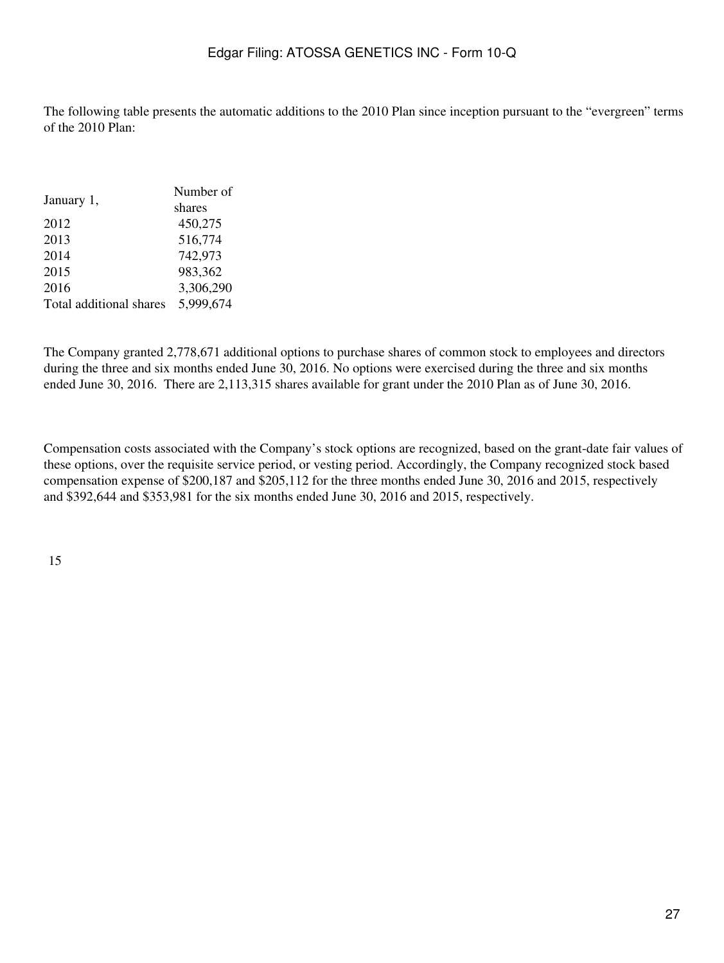The following table presents the automatic additions to the 2010 Plan since inception pursuant to the "evergreen" terms of the 2010 Plan:

|                         | Number of |
|-------------------------|-----------|
| January 1,              | shares    |
| 2012                    | 450,275   |
| 2013                    | 516,774   |
| 2014                    | 742,973   |
| 2015                    | 983,362   |
| 2016                    | 3,306,290 |
| Total additional shares | 5,999,674 |

The Company granted 2,778,671 additional options to purchase shares of common stock to employees and directors during the three and six months ended June 30, 2016. No options were exercised during the three and six months ended June 30, 2016. There are 2,113,315 shares available for grant under the 2010 Plan as of June 30, 2016.

Compensation costs associated with the Company's stock options are recognized, based on the grant-date fair values of these options, over the requisite service period, or vesting period. Accordingly, the Company recognized stock based compensation expense of \$200,187 and \$205,112 for the three months ended June 30, 2016 and 2015, respectively and \$392,644 and \$353,981 for the six months ended June 30, 2016 and 2015, respectively.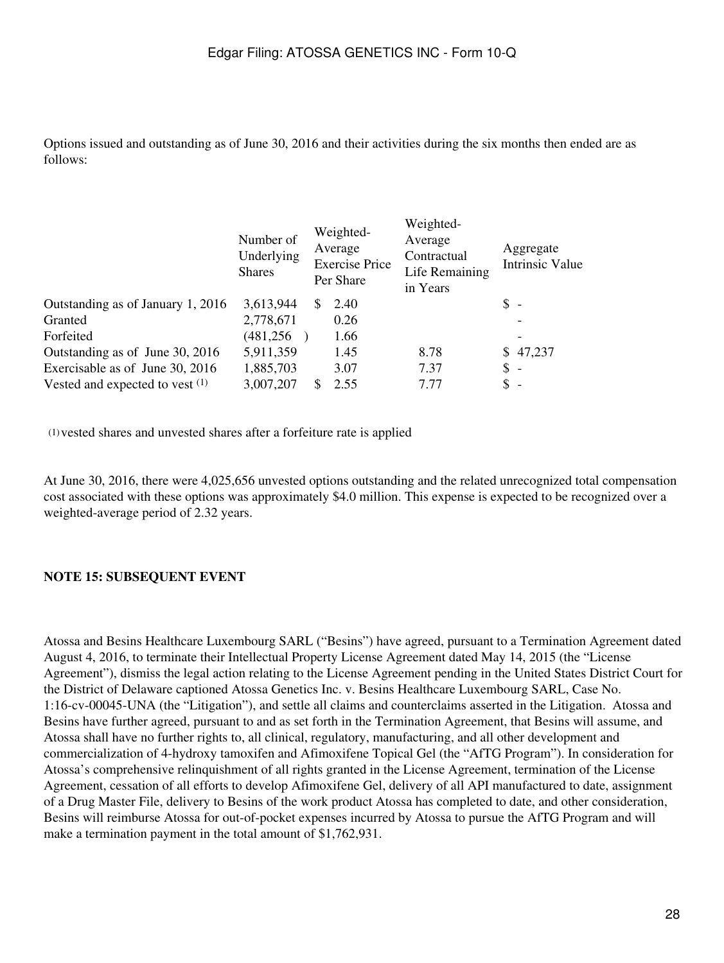Options issued and outstanding as of June 30, 2016 and their activities during the six months then ended are as follows:

|                                   | Number of<br>Underlying<br><b>Shares</b> |    | Weighted-<br>Average<br><b>Exercise Price</b><br>Per Share | Weighted-<br>Average<br>Contractual<br>Life Remaining<br>in Years |                | Aggregate<br><b>Intrinsic Value</b> |
|-----------------------------------|------------------------------------------|----|------------------------------------------------------------|-------------------------------------------------------------------|----------------|-------------------------------------|
| Outstanding as of January 1, 2016 | 3,613,944                                | S. | 2.40                                                       |                                                                   | $\uparrow$ -   |                                     |
| Granted                           | 2,778,671                                |    | 0.26                                                       |                                                                   |                |                                     |
| Forfeited                         | (481, 256)                               |    | 1.66                                                       |                                                                   |                |                                     |
| Outstanding as of June 30, 2016   | 5,911,359                                |    | 1.45                                                       | 8.78                                                              |                | \$47,237                            |
| Exercisable as of June 30, 2016   | 1,885,703                                |    | 3.07                                                       | 7.37                                                              | $\mathbb{S}$ - |                                     |
| Vested and expected to vest $(1)$ | 3,007,207                                |    | 2.55                                                       | 7.77                                                              | \$             |                                     |

(1)vested shares and unvested shares after a forfeiture rate is applied

At June 30, 2016, there were 4,025,656 unvested options outstanding and the related unrecognized total compensation cost associated with these options was approximately \$4.0 million. This expense is expected to be recognized over a weighted-average period of 2.32 years.

#### **NOTE 15: SUBSEQUENT EVENT**

Atossa and Besins Healthcare Luxembourg SARL ("Besins") have agreed, pursuant to a Termination Agreement dated August 4, 2016, to terminate their Intellectual Property License Agreement dated May 14, 2015 (the "License Agreement"), dismiss the legal action relating to the License Agreement pending in the United States District Court for the District of Delaware captioned Atossa Genetics Inc. v. Besins Healthcare Luxembourg SARL, Case No. 1:16-cv-00045-UNA (the "Litigation"), and settle all claims and counterclaims asserted in the Litigation. Atossa and Besins have further agreed, pursuant to and as set forth in the Termination Agreement, that Besins will assume, and Atossa shall have no further rights to, all clinical, regulatory, manufacturing, and all other development and commercialization of 4-hydroxy tamoxifen and Afimoxifene Topical Gel (the "AfTG Program"). In consideration for Atossa's comprehensive relinquishment of all rights granted in the License Agreement, termination of the License Agreement, cessation of all efforts to develop Afimoxifene Gel, delivery of all API manufactured to date, assignment of a Drug Master File, delivery to Besins of the work product Atossa has completed to date, and other consideration, Besins will reimburse Atossa for out-of-pocket expenses incurred by Atossa to pursue the AfTG Program and will make a termination payment in the total amount of \$1,762,931.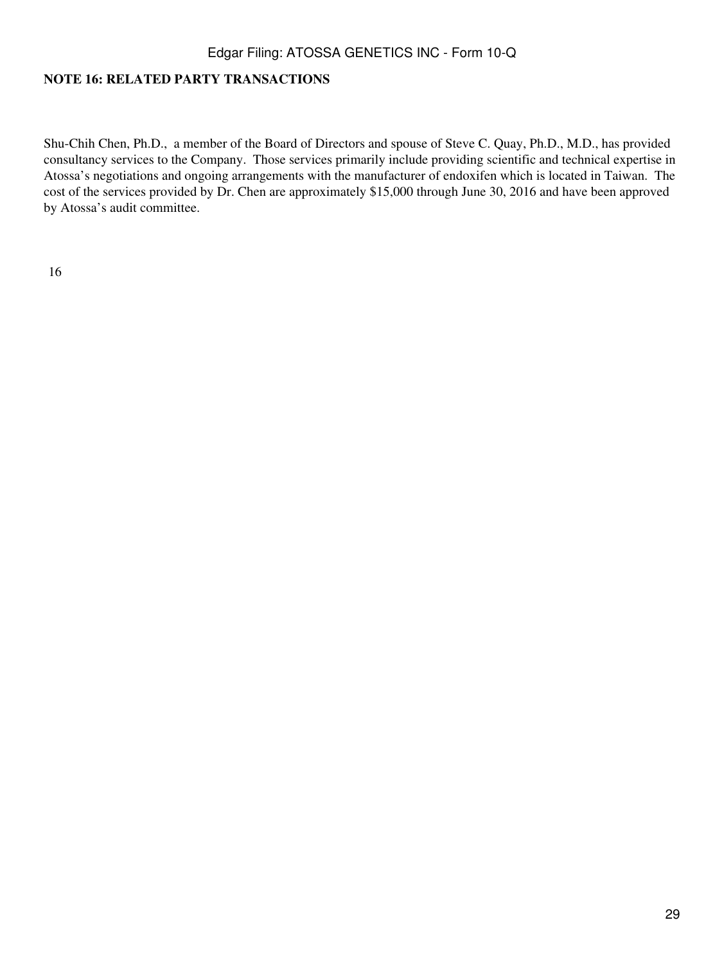### **NOTE 16: RELATED PARTY TRANSACTIONS**

Shu-Chih Chen, Ph.D., a member of the Board of Directors and spouse of Steve C. Quay, Ph.D., M.D., has provided consultancy services to the Company. Those services primarily include providing scientific and technical expertise in Atossa's negotiations and ongoing arrangements with the manufacturer of endoxifen which is located in Taiwan. The cost of the services provided by Dr. Chen are approximately \$15,000 through June 30, 2016 and have been approved by Atossa's audit committee.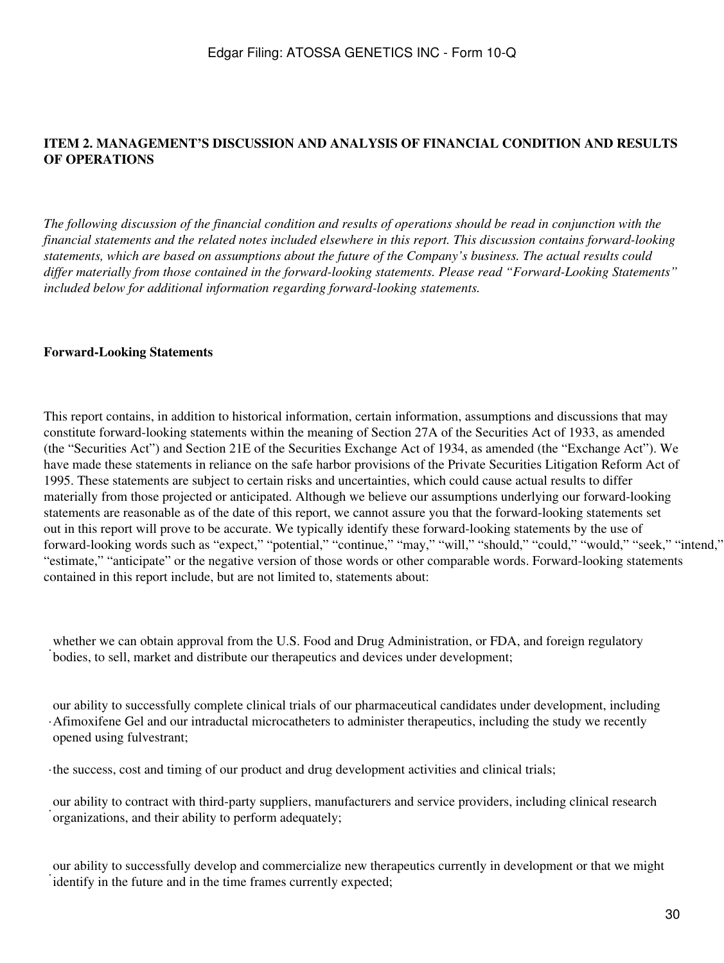## <span id="page-29-0"></span>**ITEM 2. MANAGEMENT'S DISCUSSION AND ANALYSIS OF FINANCIAL CONDITION AND RESULTS OF OPERATIONS**

*The following discussion of the financial condition and results of operations should be read in conjunction with the financial statements and the related notes included elsewhere in this report. This discussion contains forward-looking statements, which are based on assumptions about the future of the Company's business. The actual results could differ materially from those contained in the forward-looking statements. Please read "Forward-Looking Statements" included below for additional information regarding forward-looking statements.*

#### **Forward-Looking Statements**

This report contains, in addition to historical information, certain information, assumptions and discussions that may constitute forward-looking statements within the meaning of Section 27A of the Securities Act of 1933, as amended (the "Securities Act") and Section 21E of the Securities Exchange Act of 1934, as amended (the "Exchange Act"). We have made these statements in reliance on the safe harbor provisions of the Private Securities Litigation Reform Act of 1995. These statements are subject to certain risks and uncertainties, which could cause actual results to differ materially from those projected or anticipated. Although we believe our assumptions underlying our forward-looking statements are reasonable as of the date of this report, we cannot assure you that the forward-looking statements set out in this report will prove to be accurate. We typically identify these forward-looking statements by the use of forward-looking words such as "expect," "potential," "continue," "may," "will," "should," "could," "would," "seek," "intend," "estimate," "anticipate" or the negative version of those words or other comparable words. Forward-looking statements contained in this report include, but are not limited to, statements about:

bodies, to sell, market and distribute our therapeutics and devices under development; whether we can obtain approval from the U.S. Food and Drug Administration, or FDA, and foreign regulatory

· Afimoxifene Gel and our intraductal microcatheters to administer therapeutics, including the study we recently our ability to successfully complete clinical trials of our pharmaceutical candidates under development, including opened using fulvestrant;

·the success, cost and timing of our product and drug development activities and clinical trials;

· organizations, and their ability to perform adequately; our ability to contract with third-party suppliers, manufacturers and service providers, including clinical research

identify in the future and in the time frames currently expected; our ability to successfully develop and commercialize new therapeutics currently in development or that we might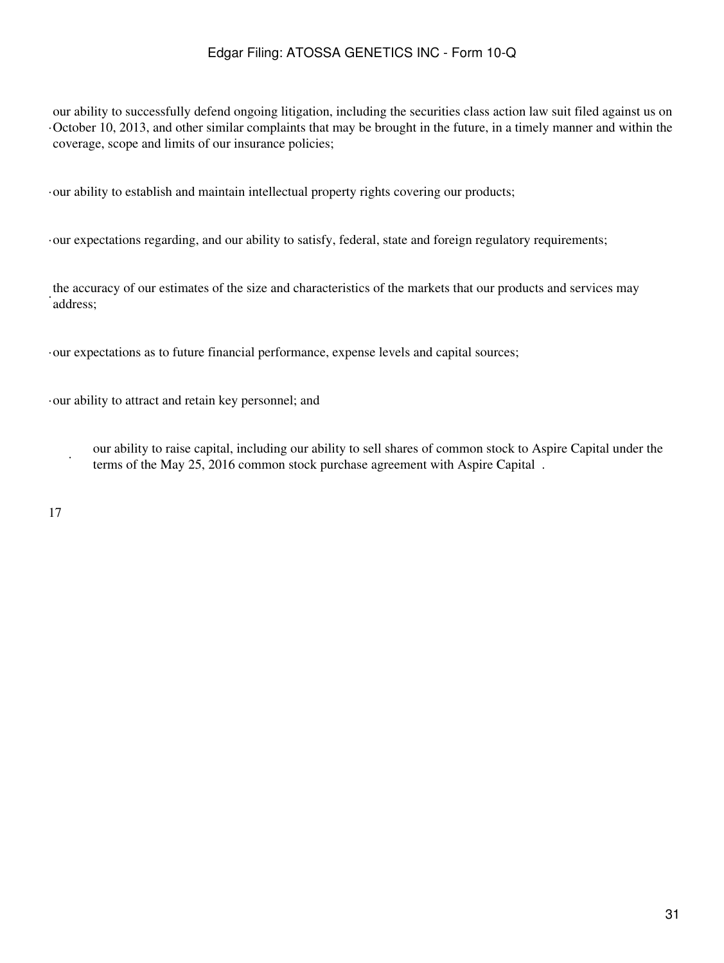· October 10, 2013, and other similar complaints that may be brought in the future, in a timely manner and within the our ability to successfully defend ongoing litigation, including the securities class action law suit filed against us on coverage, scope and limits of our insurance policies;

·our ability to establish and maintain intellectual property rights covering our products;

·our expectations regarding, and our ability to satisfy, federal, state and foreign regulatory requirements;

the accuracy of our estimates of the size and characteristics of the markets that our products and services may address;

·our expectations as to future financial performance, expense levels and capital sources;

·our ability to attract and retain key personnel; and

our ability to raise capital, including our ability to sell shares of common stock to Aspire Capital under the terms of the May 25, 2016 common stock purchase agreement with Aspire Capital .

17

·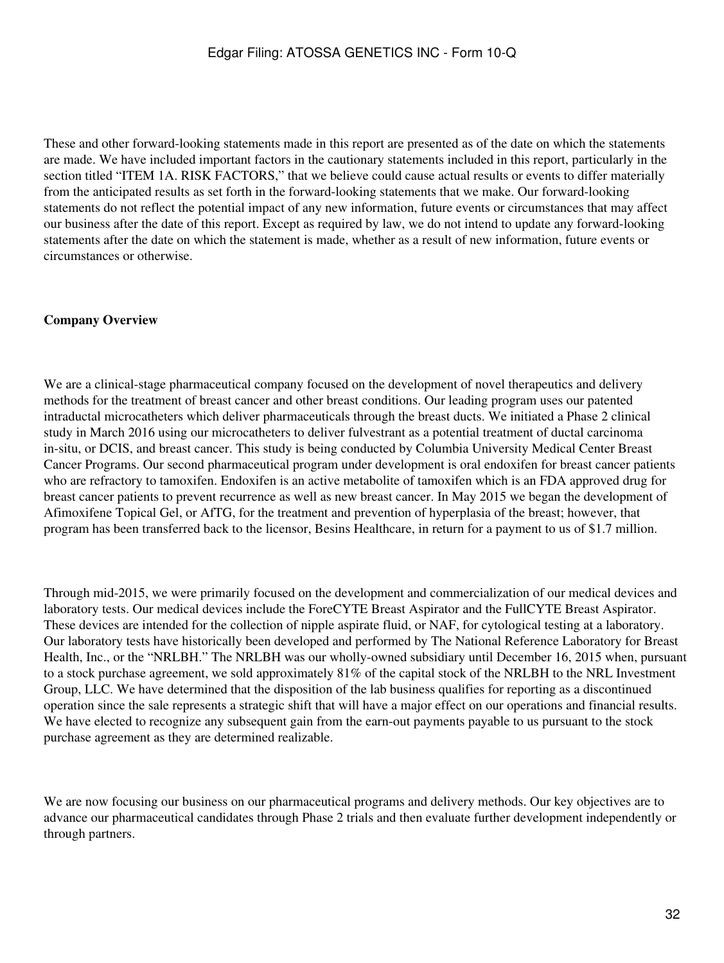These and other forward-looking statements made in this report are presented as of the date on which the statements are made. We have included important factors in the cautionary statements included in this report, particularly in the section titled "ITEM 1A. RISK FACTORS," that we believe could cause actual results or events to differ materially from the anticipated results as set forth in the forward-looking statements that we make. Our forward-looking statements do not reflect the potential impact of any new information, future events or circumstances that may affect our business after the date of this report. Except as required by law, we do not intend to update any forward-looking statements after the date on which the statement is made, whether as a result of new information, future events or circumstances or otherwise.

#### **Company Overview**

We are a clinical-stage pharmaceutical company focused on the development of novel therapeutics and delivery methods for the treatment of breast cancer and other breast conditions. Our leading program uses our patented intraductal microcatheters which deliver pharmaceuticals through the breast ducts. We initiated a Phase 2 clinical study in March 2016 using our microcatheters to deliver fulvestrant as a potential treatment of ductal carcinoma in-situ, or DCIS, and breast cancer. This study is being conducted by Columbia University Medical Center Breast Cancer Programs. Our second pharmaceutical program under development is oral endoxifen for breast cancer patients who are refractory to tamoxifen. Endoxifen is an active metabolite of tamoxifen which is an FDA approved drug for breast cancer patients to prevent recurrence as well as new breast cancer. In May 2015 we began the development of Afimoxifene Topical Gel, or AfTG, for the treatment and prevention of hyperplasia of the breast; however, that program has been transferred back to the licensor, Besins Healthcare, in return for a payment to us of \$1.7 million.

Through mid-2015, we were primarily focused on the development and commercialization of our medical devices and laboratory tests. Our medical devices include the ForeCYTE Breast Aspirator and the FullCYTE Breast Aspirator. These devices are intended for the collection of nipple aspirate fluid, or NAF, for cytological testing at a laboratory. Our laboratory tests have historically been developed and performed by The National Reference Laboratory for Breast Health, Inc., or the "NRLBH." The NRLBH was our wholly-owned subsidiary until December 16, 2015 when, pursuant to a stock purchase agreement, we sold approximately 81% of the capital stock of the NRLBH to the NRL Investment Group, LLC. We have determined that the disposition of the lab business qualifies for reporting as a discontinued operation since the sale represents a strategic shift that will have a major effect on our operations and financial results. We have elected to recognize any subsequent gain from the earn-out payments payable to us pursuant to the stock purchase agreement as they are determined realizable.

We are now focusing our business on our pharmaceutical programs and delivery methods. Our key objectives are to advance our pharmaceutical candidates through Phase 2 trials and then evaluate further development independently or through partners.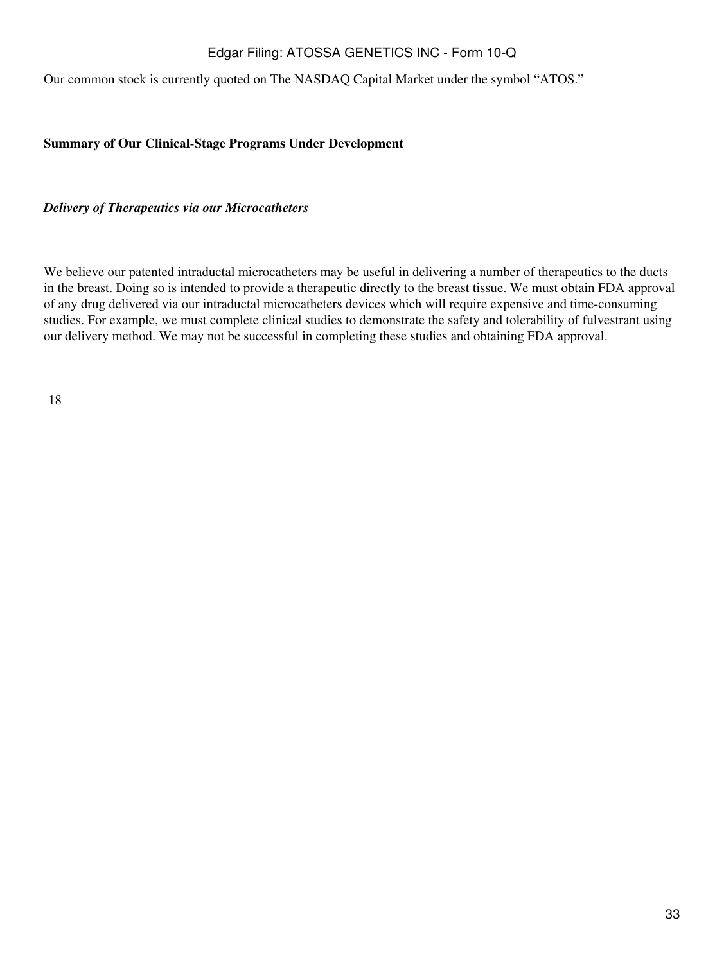Our common stock is currently quoted on The NASDAQ Capital Market under the symbol "ATOS."

#### **Summary of Our Clinical-Stage Programs Under Development**

*Delivery of Therapeutics via our Microcatheters*

We believe our patented intraductal microcatheters may be useful in delivering a number of therapeutics to the ducts in the breast. Doing so is intended to provide a therapeutic directly to the breast tissue. We must obtain FDA approval of any drug delivered via our intraductal microcatheters devices which will require expensive and time-consuming studies. For example, we must complete clinical studies to demonstrate the safety and tolerability of fulvestrant using our delivery method. We may not be successful in completing these studies and obtaining FDA approval.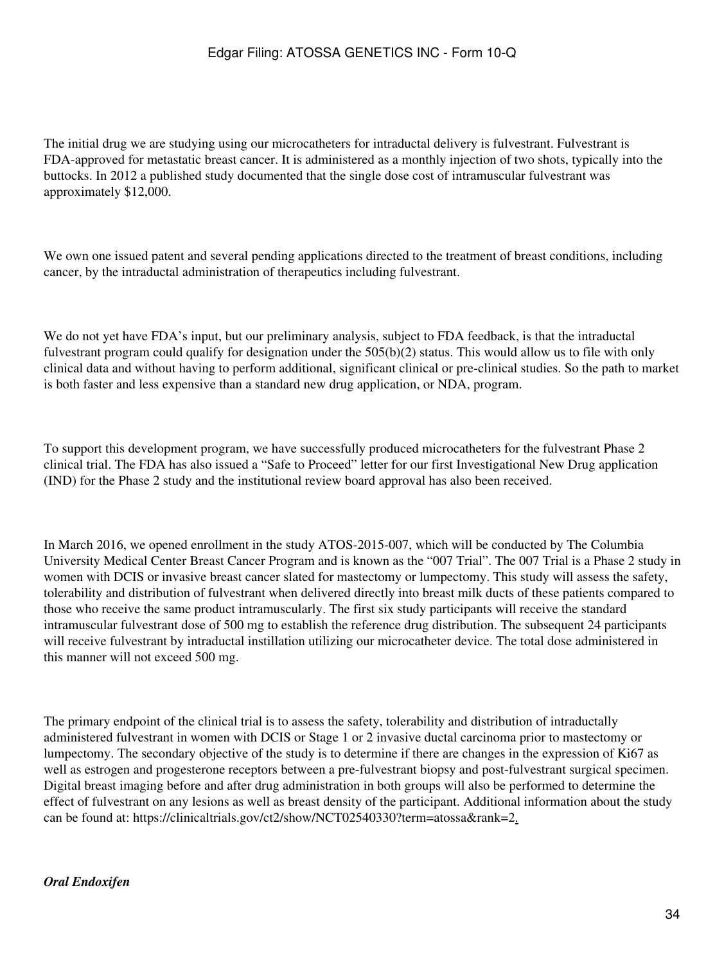The initial drug we are studying using our microcatheters for intraductal delivery is fulvestrant. Fulvestrant is FDA-approved for metastatic breast cancer. It is administered as a monthly injection of two shots, typically into the buttocks. In 2012 a published study documented that the single dose cost of intramuscular fulvestrant was approximately \$12,000.

We own one issued patent and several pending applications directed to the treatment of breast conditions, including cancer, by the intraductal administration of therapeutics including fulvestrant.

We do not yet have FDA's input, but our preliminary analysis, subject to FDA feedback, is that the intraductal fulvestrant program could qualify for designation under the 505(b)(2) status. This would allow us to file with only clinical data and without having to perform additional, significant clinical or pre-clinical studies. So the path to market is both faster and less expensive than a standard new drug application, or NDA, program.

To support this development program, we have successfully produced microcatheters for the fulvestrant Phase 2 clinical trial. The FDA has also issued a "Safe to Proceed" letter for our first Investigational New Drug application (IND) for the Phase 2 study and the institutional review board approval has also been received.

In March 2016, we opened enrollment in the study ATOS-2015-007, which will be conducted by The Columbia University Medical Center Breast Cancer Program and is known as the "007 Trial". The 007 Trial is a Phase 2 study in women with DCIS or invasive breast cancer slated for mastectomy or lumpectomy. This study will assess the safety, tolerability and distribution of fulvestrant when delivered directly into breast milk ducts of these patients compared to those who receive the same product intramuscularly. The first six study participants will receive the standard intramuscular fulvestrant dose of 500 mg to establish the reference drug distribution. The subsequent 24 participants will receive fulvestrant by intraductal instillation utilizing our microcatheter device. The total dose administered in this manner will not exceed 500 mg.

The primary endpoint of the clinical trial is to assess the safety, tolerability and distribution of intraductally administered fulvestrant in women with DCIS or Stage 1 or 2 invasive ductal carcinoma prior to mastectomy or lumpectomy. The secondary objective of the study is to determine if there are changes in the expression of Ki67 as well as estrogen and progesterone receptors between a pre-fulvestrant biopsy and post-fulvestrant surgical specimen. Digital breast imaging before and after drug administration in both groups will also be performed to determine the effect of fulvestrant on any lesions as well as breast density of the participant. Additional information about the study can be found at: https://clinicaltrials.gov/ct2/show/NCT02540330?term=atossa&rank=2.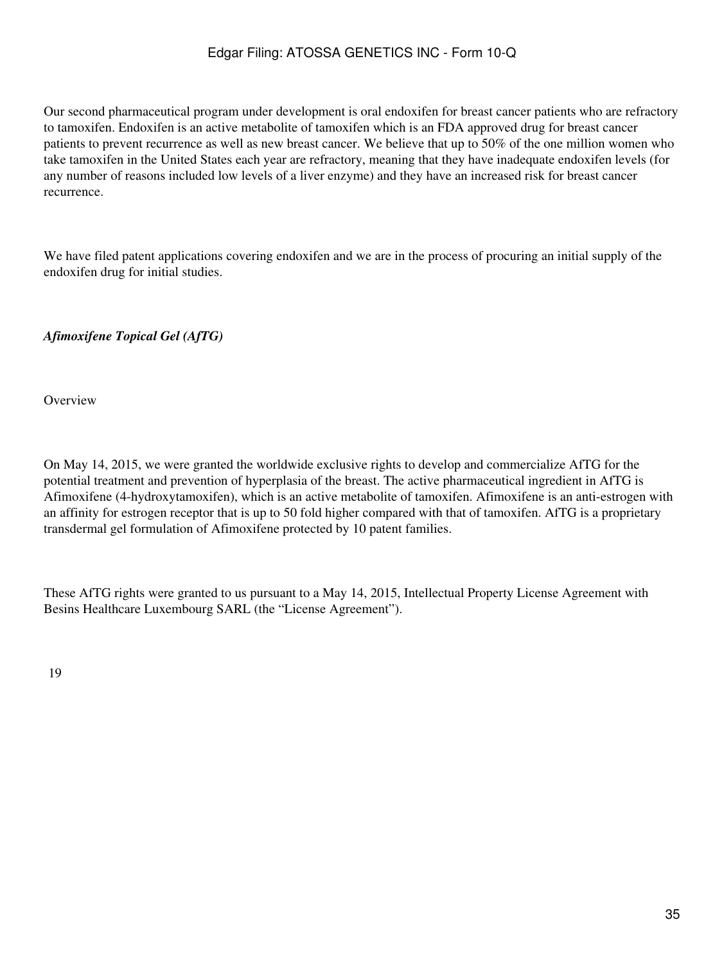Our second pharmaceutical program under development is oral endoxifen for breast cancer patients who are refractory to tamoxifen. Endoxifen is an active metabolite of tamoxifen which is an FDA approved drug for breast cancer patients to prevent recurrence as well as new breast cancer. We believe that up to 50% of the one million women who take tamoxifen in the United States each year are refractory, meaning that they have inadequate endoxifen levels (for any number of reasons included low levels of a liver enzyme) and they have an increased risk for breast cancer recurrence.

We have filed patent applications covering endoxifen and we are in the process of procuring an initial supply of the endoxifen drug for initial studies.

*Afimoxifene Topical Gel (AfTG)*

**Overview** 

On May 14, 2015, we were granted the worldwide exclusive rights to develop and commercialize AfTG for the potential treatment and prevention of hyperplasia of the breast. The active pharmaceutical ingredient in AfTG is Afimoxifene (4-hydroxytamoxifen), which is an active metabolite of tamoxifen. Afimoxifene is an anti-estrogen with an affinity for estrogen receptor that is up to 50 fold higher compared with that of tamoxifen. AfTG is a proprietary transdermal gel formulation of Afimoxifene protected by 10 patent families.

These AfTG rights were granted to us pursuant to a May 14, 2015, Intellectual Property License Agreement with Besins Healthcare Luxembourg SARL (the "License Agreement").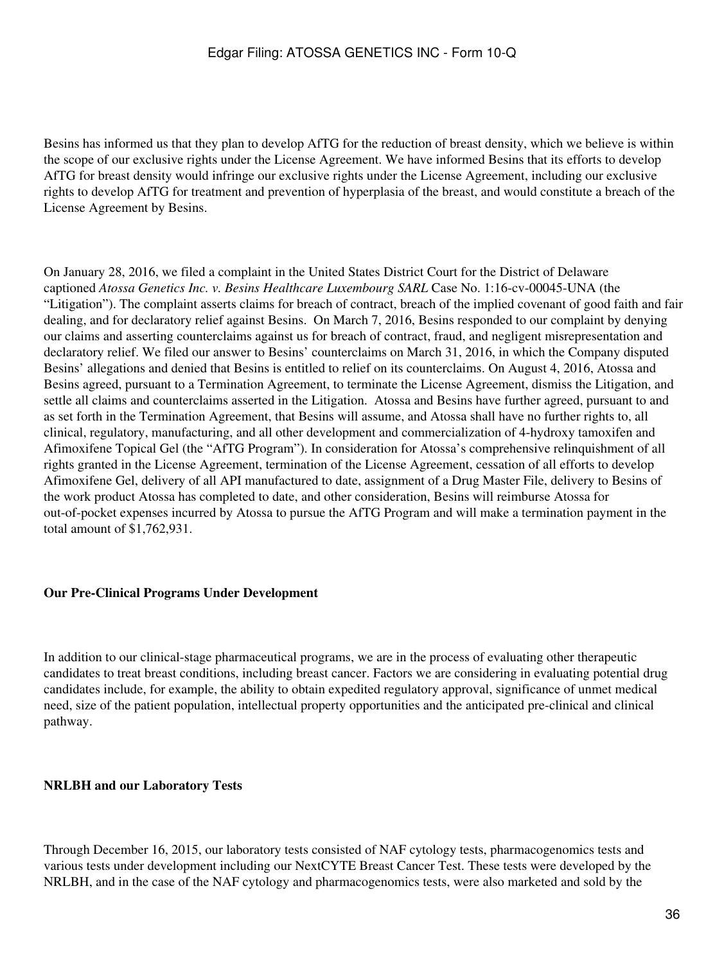Besins has informed us that they plan to develop AfTG for the reduction of breast density, which we believe is within the scope of our exclusive rights under the License Agreement. We have informed Besins that its efforts to develop AfTG for breast density would infringe our exclusive rights under the License Agreement, including our exclusive rights to develop AfTG for treatment and prevention of hyperplasia of the breast, and would constitute a breach of the License Agreement by Besins.

On January 28, 2016, we filed a complaint in the United States District Court for the District of Delaware captioned *Atossa Genetics Inc. v. Besins Healthcare Luxembourg SARL* Case No. 1:16-cv-00045-UNA (the "Litigation"). The complaint asserts claims for breach of contract, breach of the implied covenant of good faith and fair dealing, and for declaratory relief against Besins. On March 7, 2016, Besins responded to our complaint by denying our claims and asserting counterclaims against us for breach of contract, fraud, and negligent misrepresentation and declaratory relief. We filed our answer to Besins' counterclaims on March 31, 2016, in which the Company disputed Besins' allegations and denied that Besins is entitled to relief on its counterclaims. On August 4, 2016, Atossa and Besins agreed, pursuant to a Termination Agreement, to terminate the License Agreement, dismiss the Litigation, and settle all claims and counterclaims asserted in the Litigation. Atossa and Besins have further agreed, pursuant to and as set forth in the Termination Agreement, that Besins will assume, and Atossa shall have no further rights to, all clinical, regulatory, manufacturing, and all other development and commercialization of 4-hydroxy tamoxifen and Afimoxifene Topical Gel (the "AfTG Program"). In consideration for Atossa's comprehensive relinquishment of all rights granted in the License Agreement, termination of the License Agreement, cessation of all efforts to develop Afimoxifene Gel, delivery of all API manufactured to date, assignment of a Drug Master File, delivery to Besins of the work product Atossa has completed to date, and other consideration, Besins will reimburse Atossa for out-of-pocket expenses incurred by Atossa to pursue the AfTG Program and will make a termination payment in the total amount of \$1,762,931.

#### **Our Pre-Clinical Programs Under Development**

In addition to our clinical-stage pharmaceutical programs, we are in the process of evaluating other therapeutic candidates to treat breast conditions, including breast cancer. Factors we are considering in evaluating potential drug candidates include, for example, the ability to obtain expedited regulatory approval, significance of unmet medical need, size of the patient population, intellectual property opportunities and the anticipated pre-clinical and clinical pathway.

#### **NRLBH and our Laboratory Tests**

Through December 16, 2015, our laboratory tests consisted of NAF cytology tests, pharmacogenomics tests and various tests under development including our NextCYTE Breast Cancer Test. These tests were developed by the NRLBH, and in the case of the NAF cytology and pharmacogenomics tests, were also marketed and sold by the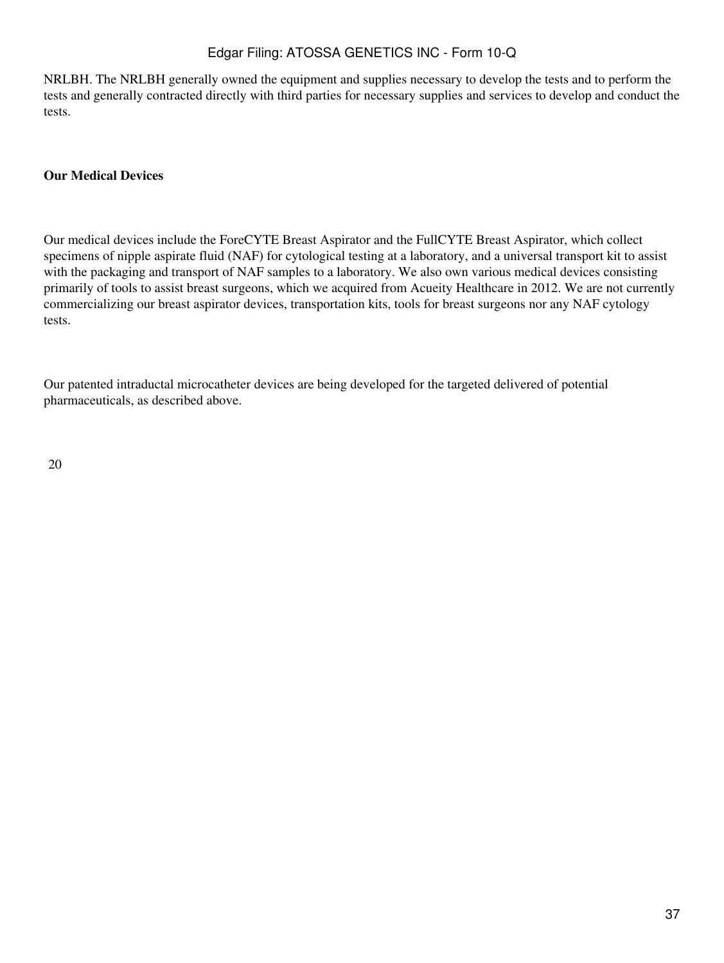NRLBH. The NRLBH generally owned the equipment and supplies necessary to develop the tests and to perform the tests and generally contracted directly with third parties for necessary supplies and services to develop and conduct the tests.

#### **Our Medical Devices**

Our medical devices include the ForeCYTE Breast Aspirator and the FullCYTE Breast Aspirator, which collect specimens of nipple aspirate fluid (NAF) for cytological testing at a laboratory, and a universal transport kit to assist with the packaging and transport of NAF samples to a laboratory. We also own various medical devices consisting primarily of tools to assist breast surgeons, which we acquired from Acueity Healthcare in 2012. We are not currently commercializing our breast aspirator devices, transportation kits, tools for breast surgeons nor any NAF cytology tests.

Our patented intraductal microcatheter devices are being developed for the targeted delivered of potential pharmaceuticals, as described above.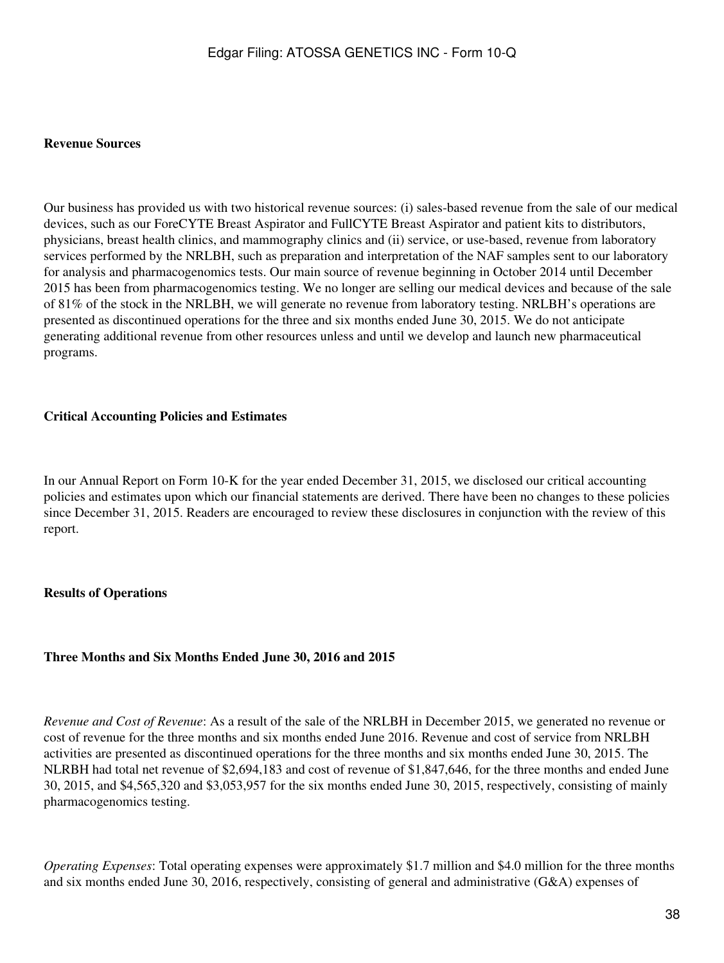#### **Revenue Sources**

Our business has provided us with two historical revenue sources: (i) sales-based revenue from the sale of our medical devices, such as our ForeCYTE Breast Aspirator and FullCYTE Breast Aspirator and patient kits to distributors, physicians, breast health clinics, and mammography clinics and (ii) service, or use-based, revenue from laboratory services performed by the NRLBH, such as preparation and interpretation of the NAF samples sent to our laboratory for analysis and pharmacogenomics tests. Our main source of revenue beginning in October 2014 until December 2015 has been from pharmacogenomics testing. We no longer are selling our medical devices and because of the sale of 81% of the stock in the NRLBH, we will generate no revenue from laboratory testing. NRLBH's operations are presented as discontinued operations for the three and six months ended June 30, 2015. We do not anticipate generating additional revenue from other resources unless and until we develop and launch new pharmaceutical programs.

#### **Critical Accounting Policies and Estimates**

In our Annual Report on Form 10-K for the year ended December 31, 2015, we disclosed our critical accounting policies and estimates upon which our financial statements are derived. There have been no changes to these policies since December 31, 2015. Readers are encouraged to review these disclosures in conjunction with the review of this report.

#### **Results of Operations**

#### **Three Months and Six Months Ended June 30, 2016 and 2015**

*Revenue and Cost of Revenue*: As a result of the sale of the NRLBH in December 2015, we generated no revenue or cost of revenue for the three months and six months ended June 2016. Revenue and cost of service from NRLBH activities are presented as discontinued operations for the three months and six months ended June 30, 2015. The NLRBH had total net revenue of \$2,694,183 and cost of revenue of \$1,847,646, for the three months and ended June 30, 2015, and \$4,565,320 and \$3,053,957 for the six months ended June 30, 2015, respectively, consisting of mainly pharmacogenomics testing.

*Operating Expenses*: Total operating expenses were approximately \$1.7 million and \$4.0 million for the three months and six months ended June 30, 2016, respectively, consisting of general and administrative (G&A) expenses of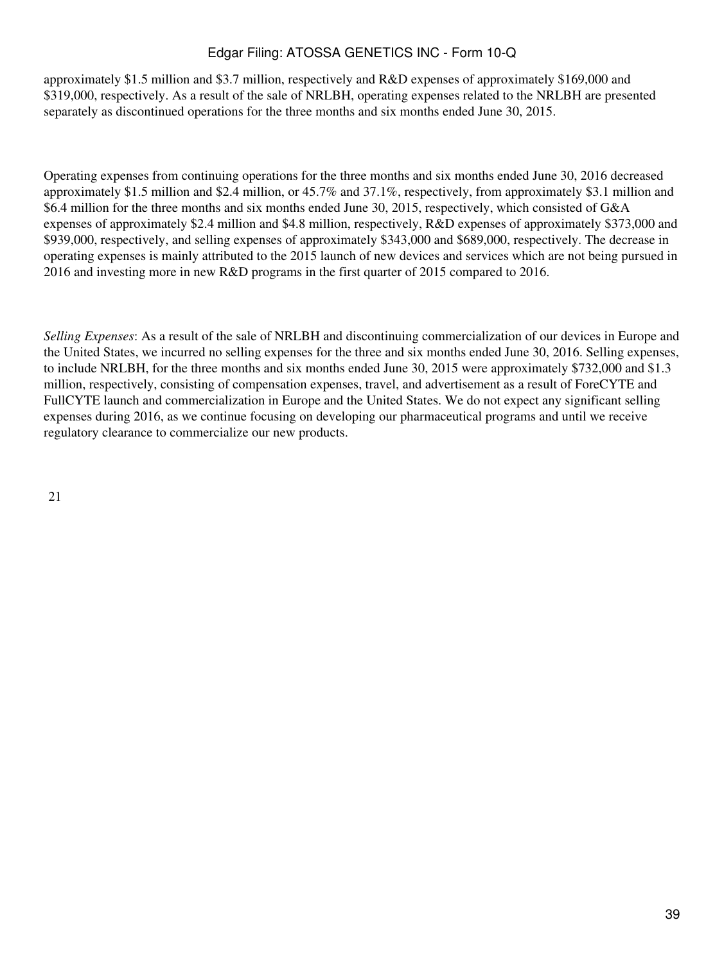approximately \$1.5 million and \$3.7 million, respectively and R&D expenses of approximately \$169,000 and \$319,000, respectively. As a result of the sale of NRLBH, operating expenses related to the NRLBH are presented separately as discontinued operations for the three months and six months ended June 30, 2015.

Operating expenses from continuing operations for the three months and six months ended June 30, 2016 decreased approximately \$1.5 million and \$2.4 million, or 45.7% and 37.1%, respectively, from approximately \$3.1 million and \$6.4 million for the three months and six months ended June 30, 2015, respectively, which consisted of G&A expenses of approximately \$2.4 million and \$4.8 million, respectively, R&D expenses of approximately \$373,000 and \$939,000, respectively, and selling expenses of approximately \$343,000 and \$689,000, respectively. The decrease in operating expenses is mainly attributed to the 2015 launch of new devices and services which are not being pursued in 2016 and investing more in new R&D programs in the first quarter of 2015 compared to 2016.

*Selling Expenses*: As a result of the sale of NRLBH and discontinuing commercialization of our devices in Europe and the United States, we incurred no selling expenses for the three and six months ended June 30, 2016. Selling expenses, to include NRLBH, for the three months and six months ended June 30, 2015 were approximately \$732,000 and \$1.3 million, respectively, consisting of compensation expenses, travel, and advertisement as a result of ForeCYTE and FullCYTE launch and commercialization in Europe and the United States. We do not expect any significant selling expenses during 2016, as we continue focusing on developing our pharmaceutical programs and until we receive regulatory clearance to commercialize our new products.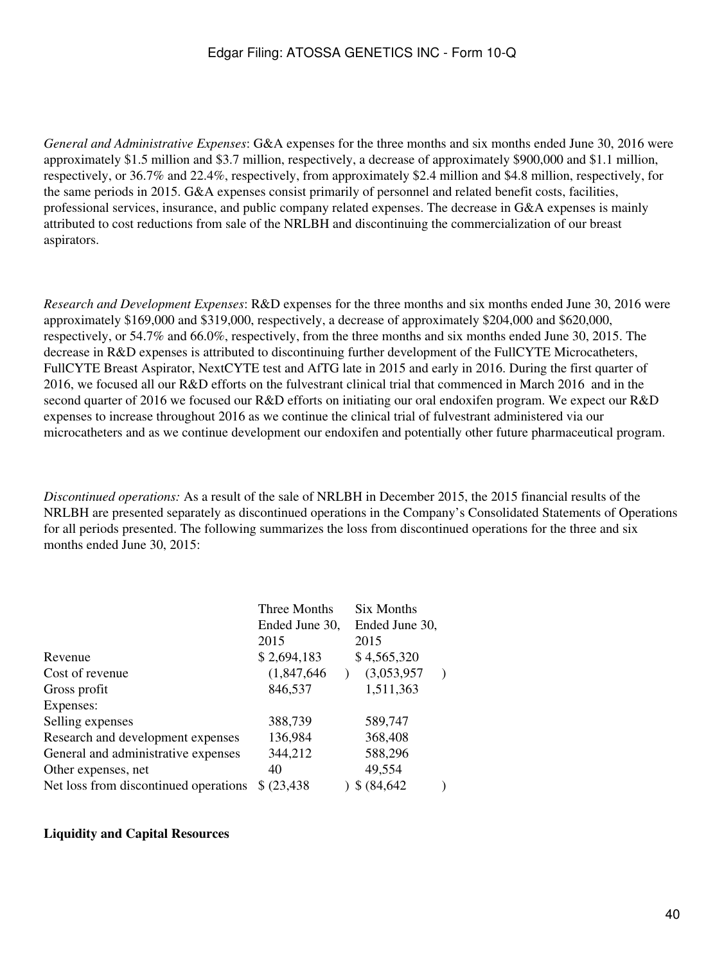*General and Administrative Expenses*: G&A expenses for the three months and six months ended June 30, 2016 were approximately \$1.5 million and \$3.7 million, respectively, a decrease of approximately \$900,000 and \$1.1 million, respectively, or 36.7% and 22.4%, respectively, from approximately \$2.4 million and \$4.8 million, respectively, for the same periods in 2015. G&A expenses consist primarily of personnel and related benefit costs, facilities, professional services, insurance, and public company related expenses. The decrease in G&A expenses is mainly attributed to cost reductions from sale of the NRLBH and discontinuing the commercialization of our breast aspirators.

*Research and Development Expenses*: R&D expenses for the three months and six months ended June 30, 2016 were approximately \$169,000 and \$319,000, respectively, a decrease of approximately \$204,000 and \$620,000, respectively, or 54.7% and 66.0%, respectively, from the three months and six months ended June 30, 2015. The decrease in R&D expenses is attributed to discontinuing further development of the FullCYTE Microcatheters, FullCYTE Breast Aspirator, NextCYTE test and AfTG late in 2015 and early in 2016. During the first quarter of 2016, we focused all our R&D efforts on the fulvestrant clinical trial that commenced in March 2016 and in the second quarter of 2016 we focused our R&D efforts on initiating our oral endoxifen program. We expect our R&D expenses to increase throughout 2016 as we continue the clinical trial of fulvestrant administered via our microcatheters and as we continue development our endoxifen and potentially other future pharmaceutical program.

*Discontinued operations:* As a result of the sale of NRLBH in December 2015, the 2015 financial results of the NRLBH are presented separately as discontinued operations in the Company's Consolidated Statements of Operations for all periods presented. The following summarizes the loss from discontinued operations for the three and six months ended June 30, 2015:

|                                       | Three Months   | Six Months     |  |
|---------------------------------------|----------------|----------------|--|
|                                       | Ended June 30, | Ended June 30, |  |
|                                       | 2015           | 2015           |  |
| Revenue                               | \$2,694,183    | \$4,565,320    |  |
| Cost of revenue                       | (1,847,646)    | (3,053,957)    |  |
| Gross profit                          | 846,537        | 1,511,363      |  |
| Expenses:                             |                |                |  |
| Selling expenses                      | 388,739        | 589,747        |  |
| Research and development expenses     | 136,984        | 368,408        |  |
| General and administrative expenses   | 344,212        | 588,296        |  |
| Other expenses, net                   | 40             | 49,554         |  |
| Net loss from discontinued operations | \$ (23, 438)   | \$ (84,642)    |  |

#### **Liquidity and Capital Resources**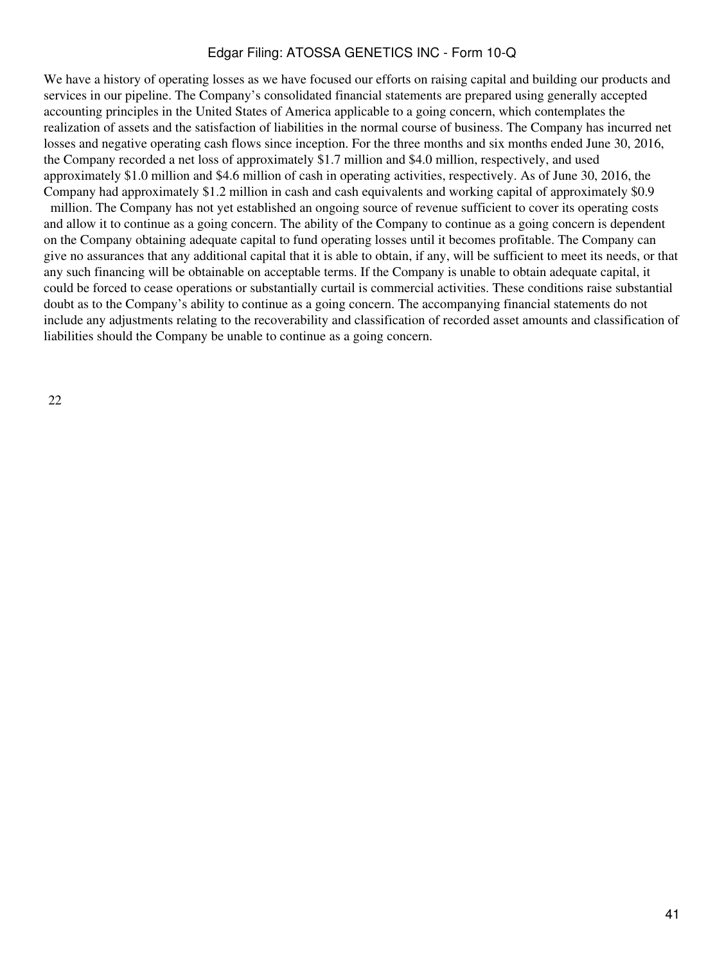We have a history of operating losses as we have focused our efforts on raising capital and building our products and services in our pipeline. The Company's consolidated financial statements are prepared using generally accepted accounting principles in the United States of America applicable to a going concern, which contemplates the realization of assets and the satisfaction of liabilities in the normal course of business. The Company has incurred net losses and negative operating cash flows since inception. For the three months and six months ended June 30, 2016, the Company recorded a net loss of approximately \$1.7 million and \$4.0 million, respectively, and used approximately \$1.0 million and \$4.6 million of cash in operating activities, respectively. As of June 30, 2016, the Company had approximately \$1.2 million in cash and cash equivalents and working capital of approximately \$0.9

 million. The Company has not yet established an ongoing source of revenue sufficient to cover its operating costs and allow it to continue as a going concern. The ability of the Company to continue as a going concern is dependent on the Company obtaining adequate capital to fund operating losses until it becomes profitable. The Company can give no assurances that any additional capital that it is able to obtain, if any, will be sufficient to meet its needs, or that any such financing will be obtainable on acceptable terms. If the Company is unable to obtain adequate capital, it could be forced to cease operations or substantially curtail is commercial activities. These conditions raise substantial doubt as to the Company's ability to continue as a going concern. The accompanying financial statements do not include any adjustments relating to the recoverability and classification of recorded asset amounts and classification of liabilities should the Company be unable to continue as a going concern.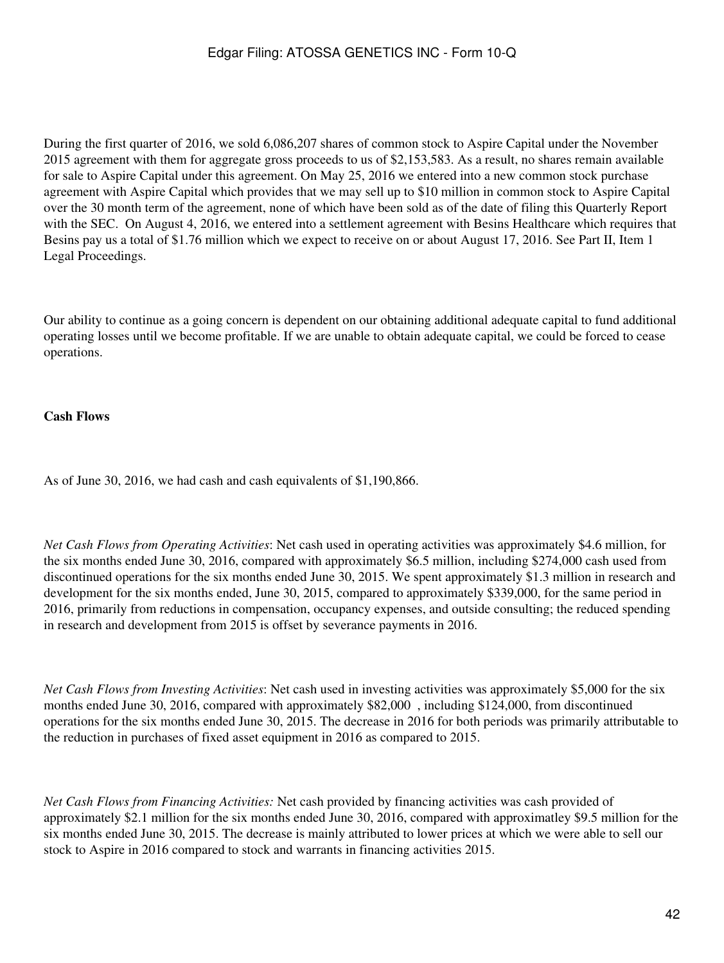During the first quarter of 2016, we sold 6,086,207 shares of common stock to Aspire Capital under the November 2015 agreement with them for aggregate gross proceeds to us of \$2,153,583. As a result, no shares remain available for sale to Aspire Capital under this agreement. On May 25, 2016 we entered into a new common stock purchase agreement with Aspire Capital which provides that we may sell up to \$10 million in common stock to Aspire Capital over the 30 month term of the agreement, none of which have been sold as of the date of filing this Quarterly Report with the SEC. On August 4, 2016, we entered into a settlement agreement with Besins Healthcare which requires that Besins pay us a total of \$1.76 million which we expect to receive on or about August 17, 2016. See Part II, Item 1 Legal Proceedings.

Our ability to continue as a going concern is dependent on our obtaining additional adequate capital to fund additional operating losses until we become profitable. If we are unable to obtain adequate capital, we could be forced to cease operations.

## **Cash Flows**

As of June 30, 2016, we had cash and cash equivalents of \$1,190,866.

*Net Cash Flows from Operating Activities*: Net cash used in operating activities was approximately \$4.6 million, for the six months ended June 30, 2016, compared with approximately \$6.5 million, including \$274,000 cash used from discontinued operations for the six months ended June 30, 2015. We spent approximately \$1.3 million in research and development for the six months ended, June 30, 2015, compared to approximately \$339,000, for the same period in 2016, primarily from reductions in compensation, occupancy expenses, and outside consulting; the reduced spending in research and development from 2015 is offset by severance payments in 2016.

*Net Cash Flows from Investing Activities*: Net cash used in investing activities was approximately \$5,000 for the six months ended June 30, 2016, compared with approximately \$82,000 , including \$124,000, from discontinued operations for the six months ended June 30, 2015. The decrease in 2016 for both periods was primarily attributable to the reduction in purchases of fixed asset equipment in 2016 as compared to 2015.

*Net Cash Flows from Financing Activities:* Net cash provided by financing activities was cash provided of approximately \$2.1 million for the six months ended June 30, 2016, compared with approximatley \$9.5 million for the six months ended June 30, 2015. The decrease is mainly attributed to lower prices at which we were able to sell our stock to Aspire in 2016 compared to stock and warrants in financing activities 2015.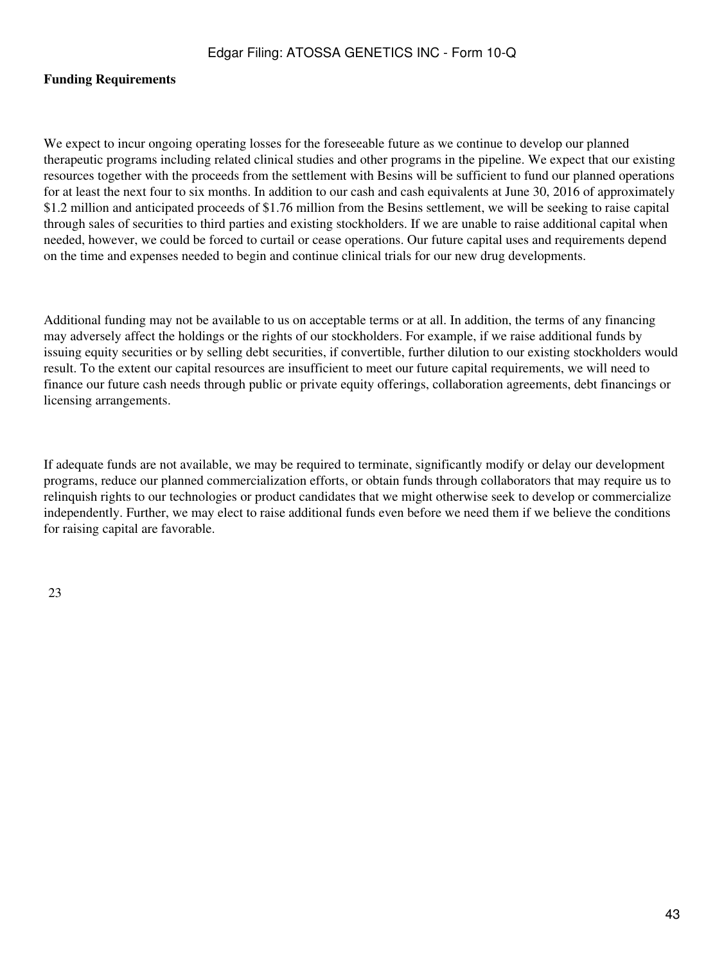#### **Funding Requirements**

We expect to incur ongoing operating losses for the foreseeable future as we continue to develop our planned therapeutic programs including related clinical studies and other programs in the pipeline. We expect that our existing resources together with the proceeds from the settlement with Besins will be sufficient to fund our planned operations for at least the next four to six months. In addition to our cash and cash equivalents at June 30, 2016 of approximately \$1.2 million and anticipated proceeds of \$1.76 million from the Besins settlement, we will be seeking to raise capital through sales of securities to third parties and existing stockholders. If we are unable to raise additional capital when needed, however, we could be forced to curtail or cease operations. Our future capital uses and requirements depend on the time and expenses needed to begin and continue clinical trials for our new drug developments.

Additional funding may not be available to us on acceptable terms or at all. In addition, the terms of any financing may adversely affect the holdings or the rights of our stockholders. For example, if we raise additional funds by issuing equity securities or by selling debt securities, if convertible, further dilution to our existing stockholders would result. To the extent our capital resources are insufficient to meet our future capital requirements, we will need to finance our future cash needs through public or private equity offerings, collaboration agreements, debt financings or licensing arrangements.

If adequate funds are not available, we may be required to terminate, significantly modify or delay our development programs, reduce our planned commercialization efforts, or obtain funds through collaborators that may require us to relinquish rights to our technologies or product candidates that we might otherwise seek to develop or commercialize independently. Further, we may elect to raise additional funds even before we need them if we believe the conditions for raising capital are favorable.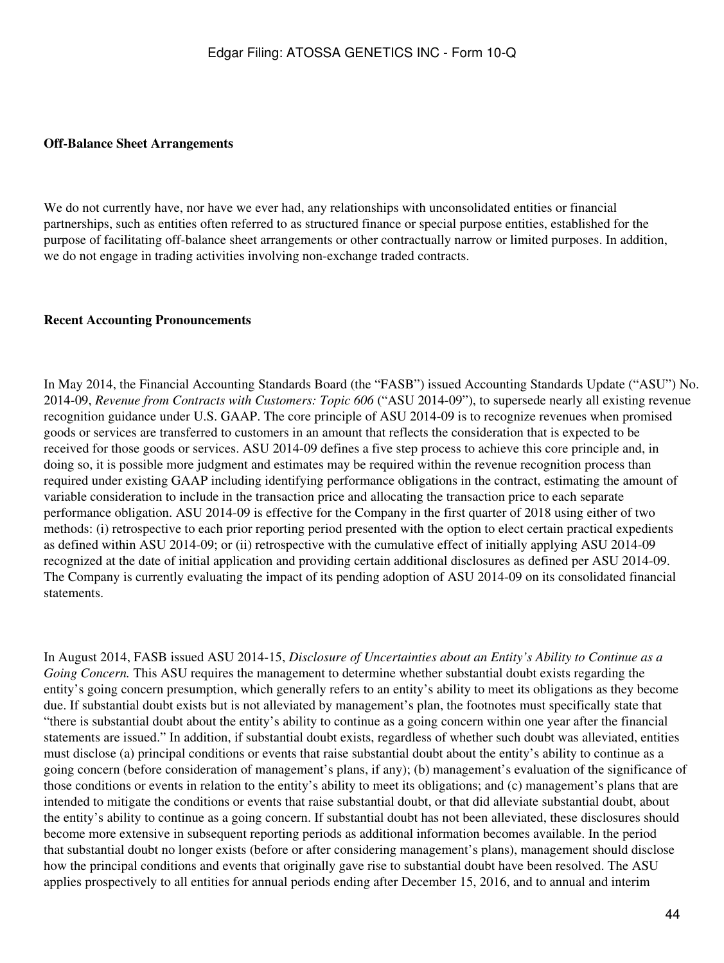#### **Off-Balance Sheet Arrangements**

We do not currently have, nor have we ever had, any relationships with unconsolidated entities or financial partnerships, such as entities often referred to as structured finance or special purpose entities, established for the purpose of facilitating off-balance sheet arrangements or other contractually narrow or limited purposes. In addition, we do not engage in trading activities involving non-exchange traded contracts.

#### **Recent Accounting Pronouncements**

In May 2014, the Financial Accounting Standards Board (the "FASB") issued Accounting Standards Update ("ASU") No. 2014-09, *Revenue from Contracts with Customers: Topic 606* ("ASU 2014-09"), to supersede nearly all existing revenue recognition guidance under U.S. GAAP. The core principle of ASU 2014-09 is to recognize revenues when promised goods or services are transferred to customers in an amount that reflects the consideration that is expected to be received for those goods or services. ASU 2014-09 defines a five step process to achieve this core principle and, in doing so, it is possible more judgment and estimates may be required within the revenue recognition process than required under existing GAAP including identifying performance obligations in the contract, estimating the amount of variable consideration to include in the transaction price and allocating the transaction price to each separate performance obligation. ASU 2014-09 is effective for the Company in the first quarter of 2018 using either of two methods: (i) retrospective to each prior reporting period presented with the option to elect certain practical expedients as defined within ASU 2014-09; or (ii) retrospective with the cumulative effect of initially applying ASU 2014-09 recognized at the date of initial application and providing certain additional disclosures as defined per ASU 2014-09. The Company is currently evaluating the impact of its pending adoption of ASU 2014-09 on its consolidated financial statements.

In August 2014, FASB issued ASU 2014-15, *Disclosure of Uncertainties about an Entity's Ability to Continue as a Going Concern.* This ASU requires the management to determine whether substantial doubt exists regarding the entity's going concern presumption, which generally refers to an entity's ability to meet its obligations as they become due. If substantial doubt exists but is not alleviated by management's plan, the footnotes must specifically state that "there is substantial doubt about the entity's ability to continue as a going concern within one year after the financial statements are issued." In addition, if substantial doubt exists, regardless of whether such doubt was alleviated, entities must disclose (a) principal conditions or events that raise substantial doubt about the entity's ability to continue as a going concern (before consideration of management's plans, if any); (b) management's evaluation of the significance of those conditions or events in relation to the entity's ability to meet its obligations; and (c) management's plans that are intended to mitigate the conditions or events that raise substantial doubt, or that did alleviate substantial doubt, about the entity's ability to continue as a going concern. If substantial doubt has not been alleviated, these disclosures should become more extensive in subsequent reporting periods as additional information becomes available. In the period that substantial doubt no longer exists (before or after considering management's plans), management should disclose how the principal conditions and events that originally gave rise to substantial doubt have been resolved. The ASU applies prospectively to all entities for annual periods ending after December 15, 2016, and to annual and interim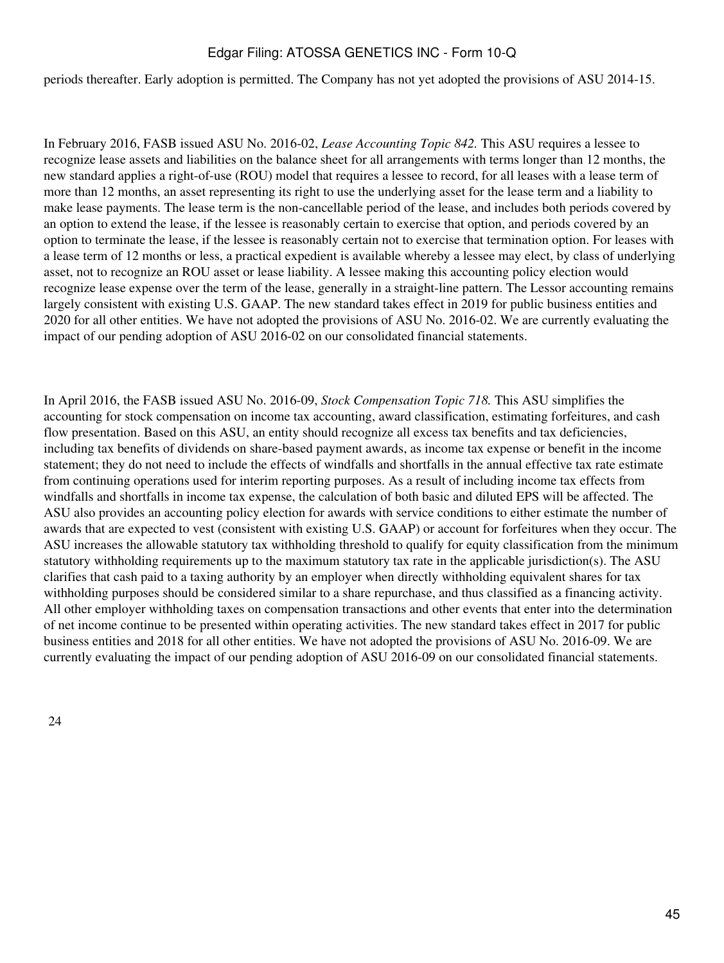periods thereafter. Early adoption is permitted. The Company has not yet adopted the provisions of ASU 2014-15.

In February 2016, FASB issued ASU No. 2016-02, *Lease Accounting Topic 842.* This ASU requires a lessee to recognize lease assets and liabilities on the balance sheet for all arrangements with terms longer than 12 months, the new standard applies a right-of-use (ROU) model that requires a lessee to record, for all leases with a lease term of more than 12 months, an asset representing its right to use the underlying asset for the lease term and a liability to make lease payments. The lease term is the non-cancellable period of the lease, and includes both periods covered by an option to extend the lease, if the lessee is reasonably certain to exercise that option, and periods covered by an option to terminate the lease, if the lessee is reasonably certain not to exercise that termination option. For leases with a lease term of 12 months or less, a practical expedient is available whereby a lessee may elect, by class of underlying asset, not to recognize an ROU asset or lease liability. A lessee making this accounting policy election would recognize lease expense over the term of the lease, generally in a straight-line pattern. The Lessor accounting remains largely consistent with existing U.S. GAAP. The new standard takes effect in 2019 for public business entities and 2020 for all other entities. We have not adopted the provisions of ASU No. 2016-02. We are currently evaluating the impact of our pending adoption of ASU 2016-02 on our consolidated financial statements.

In April 2016, the FASB issued ASU No. 2016-09, *Stock Compensation Topic 718.* This ASU simplifies the accounting for stock compensation on income tax accounting, award classification, estimating forfeitures, and cash flow presentation. Based on this ASU, an entity should recognize all excess tax benefits and tax deficiencies, including tax benefits of dividends on share-based payment awards, as income tax expense or benefit in the income statement; they do not need to include the effects of windfalls and shortfalls in the annual effective tax rate estimate from continuing operations used for interim reporting purposes. As a result of including income tax effects from windfalls and shortfalls in income tax expense, the calculation of both basic and diluted EPS will be affected. The ASU also provides an accounting policy election for awards with service conditions to either estimate the number of awards that are expected to vest (consistent with existing U.S. GAAP) or account for forfeitures when they occur. The ASU increases the allowable statutory tax withholding threshold to qualify for equity classification from the minimum statutory withholding requirements up to the maximum statutory tax rate in the applicable jurisdiction(s). The ASU clarifies that cash paid to a taxing authority by an employer when directly withholding equivalent shares for tax withholding purposes should be considered similar to a share repurchase, and thus classified as a financing activity. All other employer withholding taxes on compensation transactions and other events that enter into the determination of net income continue to be presented within operating activities. The new standard takes effect in 2017 for public business entities and 2018 for all other entities. We have not adopted the provisions of ASU No. 2016-09. We are currently evaluating the impact of our pending adoption of ASU 2016-09 on our consolidated financial statements.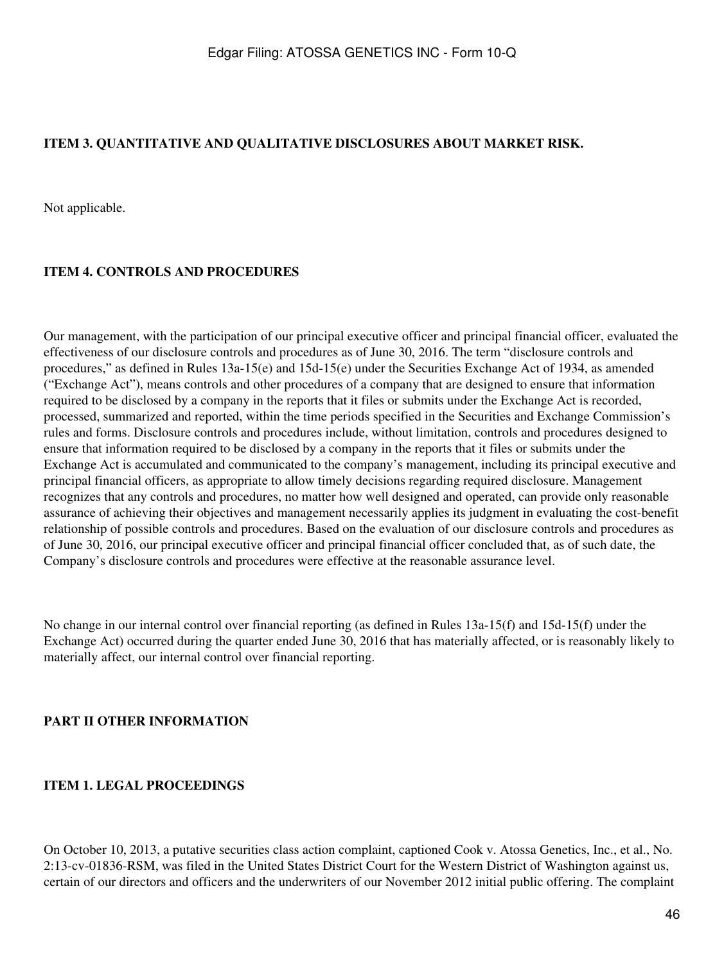## <span id="page-45-0"></span>**ITEM 3. QUANTITATIVE AND QUALITATIVE DISCLOSURES ABOUT MARKET RISK.**

Not applicable.

#### <span id="page-45-1"></span>**ITEM 4. CONTROLS AND PROCEDURES**

Our management, with the participation of our principal executive officer and principal financial officer, evaluated the effectiveness of our disclosure controls and procedures as of June 30, 2016. The term "disclosure controls and procedures," as defined in Rules 13a-15(e) and 15d-15(e) under the Securities Exchange Act of 1934, as amended ("Exchange Act"), means controls and other procedures of a company that are designed to ensure that information required to be disclosed by a company in the reports that it files or submits under the Exchange Act is recorded, processed, summarized and reported, within the time periods specified in the Securities and Exchange Commission's rules and forms. Disclosure controls and procedures include, without limitation, controls and procedures designed to ensure that information required to be disclosed by a company in the reports that it files or submits under the Exchange Act is accumulated and communicated to the company's management, including its principal executive and principal financial officers, as appropriate to allow timely decisions regarding required disclosure. Management recognizes that any controls and procedures, no matter how well designed and operated, can provide only reasonable assurance of achieving their objectives and management necessarily applies its judgment in evaluating the cost-benefit relationship of possible controls and procedures. Based on the evaluation of our disclosure controls and procedures as of June 30, 2016, our principal executive officer and principal financial officer concluded that, as of such date, the Company's disclosure controls and procedures were effective at the reasonable assurance level.

No change in our internal control over financial reporting (as defined in Rules 13a-15(f) and 15d-15(f) under the Exchange Act) occurred during the quarter ended June 30, 2016 that has materially affected, or is reasonably likely to materially affect, our internal control over financial reporting.

#### <span id="page-45-2"></span>**PART II OTHER INFORMATION**

#### <span id="page-45-3"></span>**ITEM 1. LEGAL PROCEEDINGS**

On October 10, 2013, a putative securities class action complaint, captioned Cook v. Atossa Genetics, Inc., et al., No. 2:13-cv-01836-RSM, was filed in the United States District Court for the Western District of Washington against us, certain of our directors and officers and the underwriters of our November 2012 initial public offering. The complaint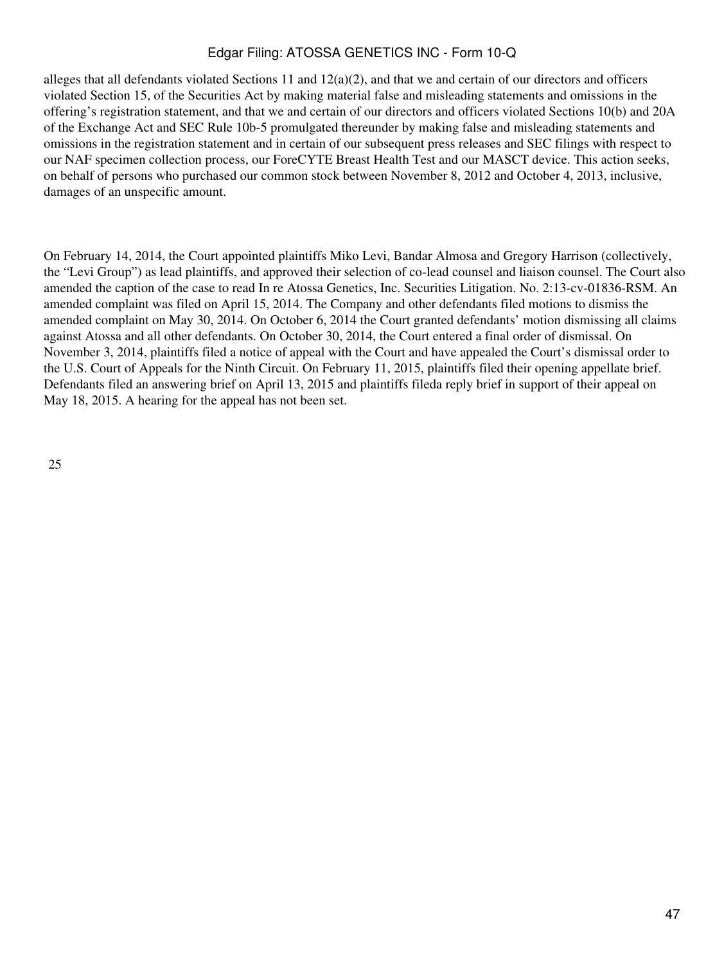alleges that all defendants violated Sections 11 and  $12(a)(2)$ , and that we and certain of our directors and officers violated Section 15, of the Securities Act by making material false and misleading statements and omissions in the offering's registration statement, and that we and certain of our directors and officers violated Sections 10(b) and 20A of the Exchange Act and SEC Rule 10b-5 promulgated thereunder by making false and misleading statements and omissions in the registration statement and in certain of our subsequent press releases and SEC filings with respect to our NAF specimen collection process, our ForeCYTE Breast Health Test and our MASCT device. This action seeks, on behalf of persons who purchased our common stock between November 8, 2012 and October 4, 2013, inclusive, damages of an unspecific amount.

On February 14, 2014, the Court appointed plaintiffs Miko Levi, Bandar Almosa and Gregory Harrison (collectively, the "Levi Group") as lead plaintiffs, and approved their selection of co-lead counsel and liaison counsel. The Court also amended the caption of the case to read In re Atossa Genetics, Inc. Securities Litigation. No. 2:13-cv-01836-RSM. An amended complaint was filed on April 15, 2014. The Company and other defendants filed motions to dismiss the amended complaint on May 30, 2014. On October 6, 2014 the Court granted defendants' motion dismissing all claims against Atossa and all other defendants. On October 30, 2014, the Court entered a final order of dismissal. On November 3, 2014, plaintiffs filed a notice of appeal with the Court and have appealed the Court's dismissal order to the U.S. Court of Appeals for the Ninth Circuit. On February 11, 2015, plaintiffs filed their opening appellate brief. Defendants filed an answering brief on April 13, 2015 and plaintiffs fileda reply brief in support of their appeal on May 18, 2015. A hearing for the appeal has not been set.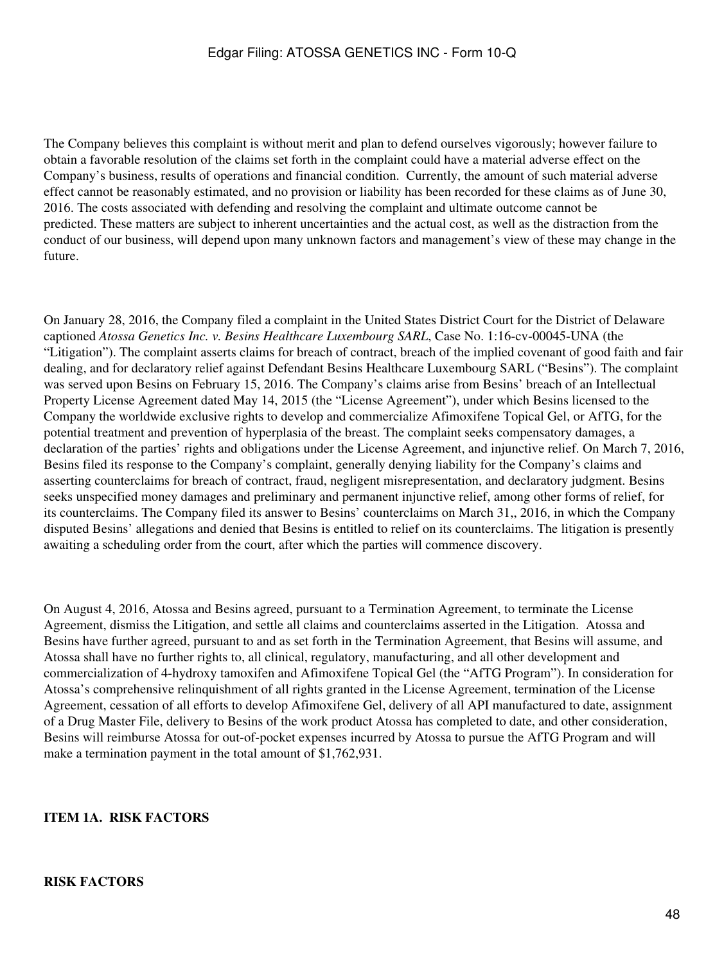The Company believes this complaint is without merit and plan to defend ourselves vigorously; however failure to obtain a favorable resolution of the claims set forth in the complaint could have a material adverse effect on the Company's business, results of operations and financial condition. Currently, the amount of such material adverse effect cannot be reasonably estimated, and no provision or liability has been recorded for these claims as of June 30, 2016. The costs associated with defending and resolving the complaint and ultimate outcome cannot be predicted. These matters are subject to inherent uncertainties and the actual cost, as well as the distraction from the conduct of our business, will depend upon many unknown factors and management's view of these may change in the future.

On January 28, 2016, the Company filed a complaint in the United States District Court for the District of Delaware captioned *Atossa Genetics Inc. v. Besins Healthcare Luxembourg SARL*, Case No. 1:16-cv-00045-UNA (the "Litigation"). The complaint asserts claims for breach of contract, breach of the implied covenant of good faith and fair dealing, and for declaratory relief against Defendant Besins Healthcare Luxembourg SARL ("Besins"). The complaint was served upon Besins on February 15, 2016. The Company's claims arise from Besins' breach of an Intellectual Property License Agreement dated May 14, 2015 (the "License Agreement"), under which Besins licensed to the Company the worldwide exclusive rights to develop and commercialize Afimoxifene Topical Gel, or AfTG, for the potential treatment and prevention of hyperplasia of the breast. The complaint seeks compensatory damages, a declaration of the parties' rights and obligations under the License Agreement, and injunctive relief. On March 7, 2016, Besins filed its response to the Company's complaint, generally denying liability for the Company's claims and asserting counterclaims for breach of contract, fraud, negligent misrepresentation, and declaratory judgment. Besins seeks unspecified money damages and preliminary and permanent injunctive relief, among other forms of relief, for its counterclaims. The Company filed its answer to Besins' counterclaims on March 31,, 2016, in which the Company disputed Besins' allegations and denied that Besins is entitled to relief on its counterclaims. The litigation is presently awaiting a scheduling order from the court, after which the parties will commence discovery.

On August 4, 2016, Atossa and Besins agreed, pursuant to a Termination Agreement, to terminate the License Agreement, dismiss the Litigation, and settle all claims and counterclaims asserted in the Litigation. Atossa and Besins have further agreed, pursuant to and as set forth in the Termination Agreement, that Besins will assume, and Atossa shall have no further rights to, all clinical, regulatory, manufacturing, and all other development and commercialization of 4-hydroxy tamoxifen and Afimoxifene Topical Gel (the "AfTG Program"). In consideration for Atossa's comprehensive relinquishment of all rights granted in the License Agreement, termination of the License Agreement, cessation of all efforts to develop Afimoxifene Gel, delivery of all API manufactured to date, assignment of a Drug Master File, delivery to Besins of the work product Atossa has completed to date, and other consideration, Besins will reimburse Atossa for out-of-pocket expenses incurred by Atossa to pursue the AfTG Program and will make a termination payment in the total amount of \$1,762,931.

#### <span id="page-47-0"></span>**ITEM 1A. RISK FACTORS**

#### **RISK FACTORS**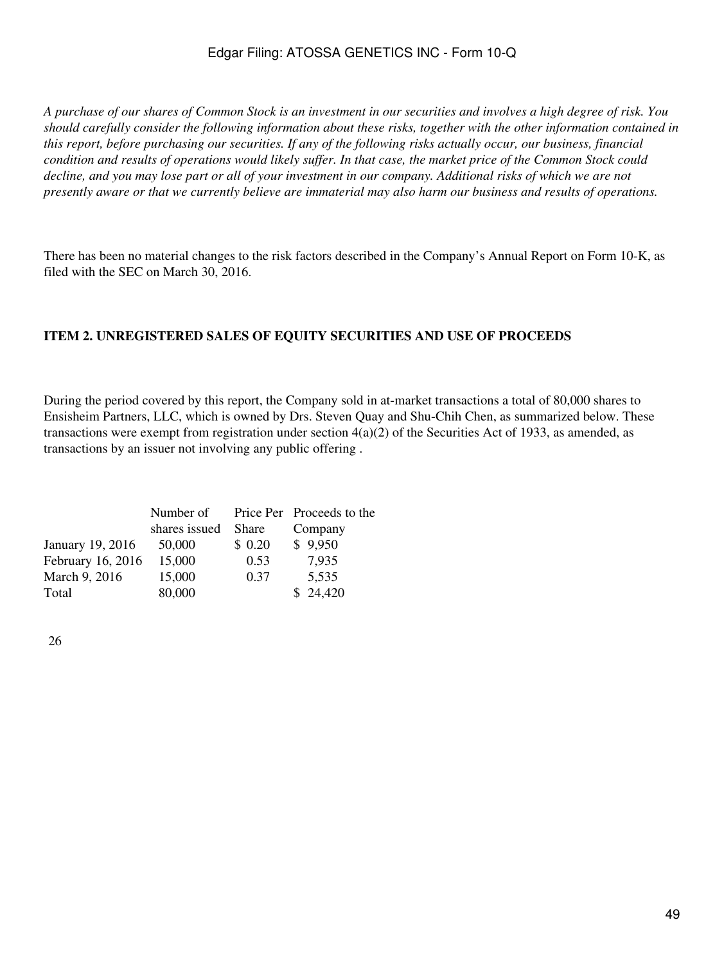*A purchase of our shares of Common Stock is an investment in our securities and involves a high degree of risk. You should carefully consider the following information about these risks, together with the other information contained in this report, before purchasing our securities. If any of the following risks actually occur, our business, financial condition and results of operations would likely suffer. In that case, the market price of the Common Stock could decline, and you may lose part or all of your investment in our company. Additional risks of which we are not presently aware or that we currently believe are immaterial may also harm our business and results of operations.*

There has been no material changes to the risk factors described in the Company's Annual Report on Form 10-K, as filed with the SEC on March 30, 2016.

#### <span id="page-48-0"></span>**ITEM 2. UNREGISTERED SALES OF EQUITY SECURITIES AND USE OF PROCEEDS**

During the period covered by this report, the Company sold in at-market transactions a total of 80,000 shares to Ensisheim Partners, LLC, which is owned by Drs. Steven Quay and Shu-Chih Chen, as summarized below. These transactions were exempt from registration under section 4(a)(2) of the Securities Act of 1933, as amended, as transactions by an issuer not involving any public offering .

|                   | Number of     |              | Price Per Proceeds to the |
|-------------------|---------------|--------------|---------------------------|
|                   | shares issued | <b>Share</b> | Company                   |
| January 19, 2016  | 50,000        | \$0.20       | \$9,950                   |
| February 16, 2016 | 15,000        | 0.53         | 7,935                     |
| March 9, 2016     | 15,000        | 0.37         | 5,535                     |
| Total             | 80,000        |              | \$24,420                  |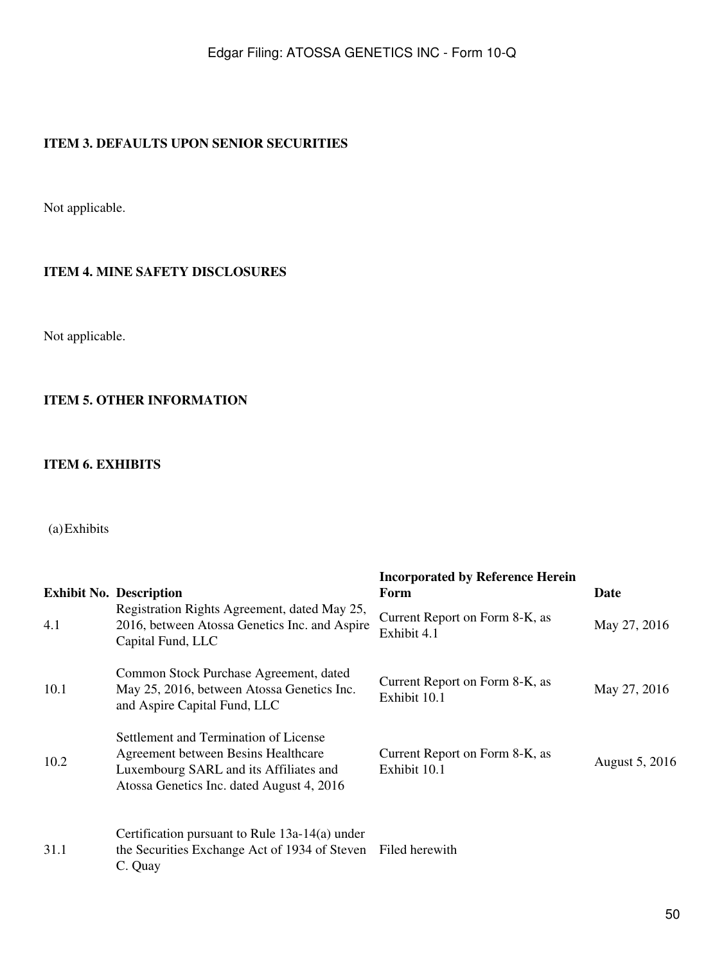## <span id="page-49-0"></span>**ITEM 3. DEFAULTS UPON SENIOR SECURITIES**

Not applicable.

#### <span id="page-49-1"></span>**ITEM 4. MINE SAFETY DISCLOSURES**

Not applicable.

## <span id="page-49-2"></span>**ITEM 5. OTHER INFORMATION**

### <span id="page-49-3"></span>**ITEM 6. EXHIBITS**

## (a)Exhibits

|      | <b>Exhibit No. Description</b>                                                                                                                                      | <b>Incorporated by Reference Herein</b><br>Form | Date           |
|------|---------------------------------------------------------------------------------------------------------------------------------------------------------------------|-------------------------------------------------|----------------|
| 4.1  | Registration Rights Agreement, dated May 25,<br>2016, between Atossa Genetics Inc. and Aspire<br>Capital Fund, LLC                                                  | Current Report on Form 8-K, as<br>Exhibit 4.1   | May 27, 2016   |
| 10.1 | Common Stock Purchase Agreement, dated<br>May 25, 2016, between Atossa Genetics Inc.<br>and Aspire Capital Fund, LLC                                                | Current Report on Form 8-K, as<br>Exhibit 10.1  | May 27, 2016   |
| 10.2 | Settlement and Termination of License<br>Agreement between Besins Healthcare<br>Luxembourg SARL and its Affiliates and<br>Atossa Genetics Inc. dated August 4, 2016 | Current Report on Form 8-K, as<br>Exhibit 10.1  | August 5, 2016 |
| 31.1 | Certification pursuant to Rule $13a-14(a)$ under<br>the Securities Exchange Act of 1934 of Steven Filed herewith<br>C. Quay                                         |                                                 |                |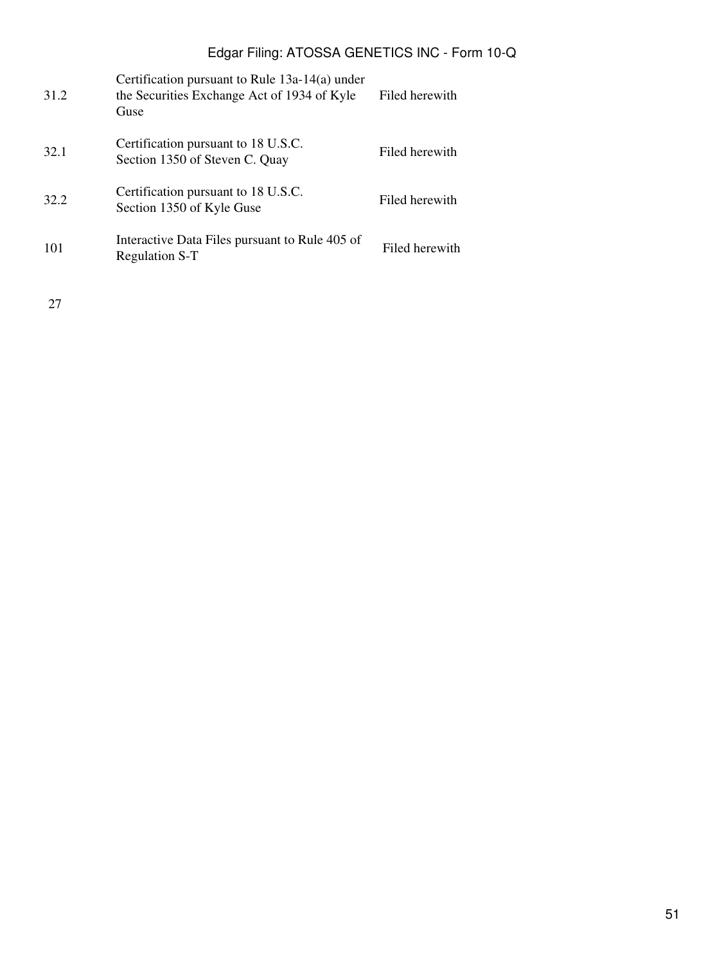| 31.2 | Certification pursuant to Rule $13a-14(a)$ under<br>the Securities Exchange Act of 1934 of Kyle<br>Guse | Filed herewith |
|------|---------------------------------------------------------------------------------------------------------|----------------|
| 32.1 | Certification pursuant to 18 U.S.C.<br>Section 1350 of Steven C. Quay                                   | Filed herewith |
| 32.2 | Certification pursuant to 18 U.S.C.<br>Section 1350 of Kyle Guse                                        | Filed herewith |
| 101  | Interactive Data Files pursuant to Rule 405 of<br><b>Regulation S-T</b>                                 | Filed herewith |